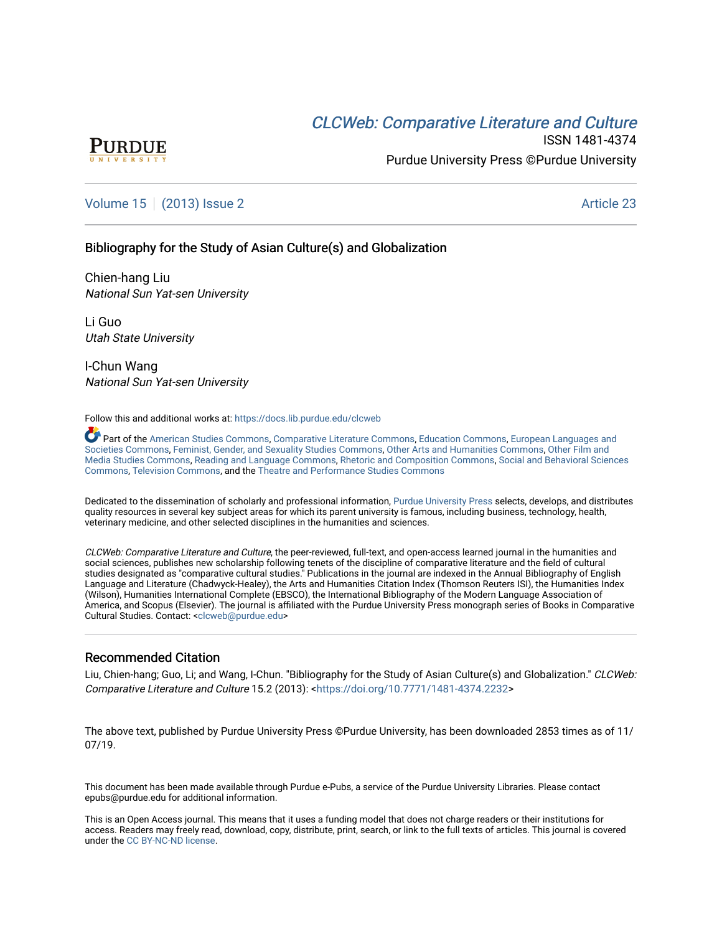# **CLCW[eb: Comparative Liter](https://docs.lib.purdue.edu/clcweb)ature and Culture**



ISSN 1481-4374 Purdue University Press ©Purdue University

# [Volume 15](https://docs.lib.purdue.edu/clcweb/vol15) | [\(2013\) Issue 2](https://docs.lib.purdue.edu/clcweb/vol15/iss2) Article 23

# Bibliography for the Study of Asian Culture(s) and Globalization

Chien-hang Liu National Sun Yat-sen University

Li Guo Utah State University

I-Chun Wang National Sun Yat-sen University

Follow this and additional works at: [https://docs.lib.purdue.edu/clcweb](https://docs.lib.purdue.edu/clcweb?utm_source=docs.lib.purdue.edu%2Fclcweb%2Fvol15%2Fiss2%2F23&utm_medium=PDF&utm_campaign=PDFCoverPages)

Part of the [American Studies Commons](http://network.bepress.com/hgg/discipline/439?utm_source=docs.lib.purdue.edu%2Fclcweb%2Fvol15%2Fiss2%2F23&utm_medium=PDF&utm_campaign=PDFCoverPages), [Comparative Literature Commons,](http://network.bepress.com/hgg/discipline/454?utm_source=docs.lib.purdue.edu%2Fclcweb%2Fvol15%2Fiss2%2F23&utm_medium=PDF&utm_campaign=PDFCoverPages) [Education Commons,](http://network.bepress.com/hgg/discipline/784?utm_source=docs.lib.purdue.edu%2Fclcweb%2Fvol15%2Fiss2%2F23&utm_medium=PDF&utm_campaign=PDFCoverPages) [European Languages and](http://network.bepress.com/hgg/discipline/482?utm_source=docs.lib.purdue.edu%2Fclcweb%2Fvol15%2Fiss2%2F23&utm_medium=PDF&utm_campaign=PDFCoverPages) [Societies Commons](http://network.bepress.com/hgg/discipline/482?utm_source=docs.lib.purdue.edu%2Fclcweb%2Fvol15%2Fiss2%2F23&utm_medium=PDF&utm_campaign=PDFCoverPages), [Feminist, Gender, and Sexuality Studies Commons,](http://network.bepress.com/hgg/discipline/559?utm_source=docs.lib.purdue.edu%2Fclcweb%2Fvol15%2Fiss2%2F23&utm_medium=PDF&utm_campaign=PDFCoverPages) [Other Arts and Humanities Commons](http://network.bepress.com/hgg/discipline/577?utm_source=docs.lib.purdue.edu%2Fclcweb%2Fvol15%2Fiss2%2F23&utm_medium=PDF&utm_campaign=PDFCoverPages), [Other Film and](http://network.bepress.com/hgg/discipline/565?utm_source=docs.lib.purdue.edu%2Fclcweb%2Fvol15%2Fiss2%2F23&utm_medium=PDF&utm_campaign=PDFCoverPages)  [Media Studies Commons](http://network.bepress.com/hgg/discipline/565?utm_source=docs.lib.purdue.edu%2Fclcweb%2Fvol15%2Fiss2%2F23&utm_medium=PDF&utm_campaign=PDFCoverPages), [Reading and Language Commons](http://network.bepress.com/hgg/discipline/1037?utm_source=docs.lib.purdue.edu%2Fclcweb%2Fvol15%2Fiss2%2F23&utm_medium=PDF&utm_campaign=PDFCoverPages), [Rhetoric and Composition Commons,](http://network.bepress.com/hgg/discipline/573?utm_source=docs.lib.purdue.edu%2Fclcweb%2Fvol15%2Fiss2%2F23&utm_medium=PDF&utm_campaign=PDFCoverPages) [Social and Behavioral Sciences](http://network.bepress.com/hgg/discipline/316?utm_source=docs.lib.purdue.edu%2Fclcweb%2Fvol15%2Fiss2%2F23&utm_medium=PDF&utm_campaign=PDFCoverPages) [Commons,](http://network.bepress.com/hgg/discipline/316?utm_source=docs.lib.purdue.edu%2Fclcweb%2Fvol15%2Fiss2%2F23&utm_medium=PDF&utm_campaign=PDFCoverPages) [Television Commons,](http://network.bepress.com/hgg/discipline/1143?utm_source=docs.lib.purdue.edu%2Fclcweb%2Fvol15%2Fiss2%2F23&utm_medium=PDF&utm_campaign=PDFCoverPages) and the [Theatre and Performance Studies Commons](http://network.bepress.com/hgg/discipline/552?utm_source=docs.lib.purdue.edu%2Fclcweb%2Fvol15%2Fiss2%2F23&utm_medium=PDF&utm_campaign=PDFCoverPages)

Dedicated to the dissemination of scholarly and professional information, [Purdue University Press](http://www.thepress.purdue.edu/) selects, develops, and distributes quality resources in several key subject areas for which its parent university is famous, including business, technology, health, veterinary medicine, and other selected disciplines in the humanities and sciences.

CLCWeb: Comparative Literature and Culture, the peer-reviewed, full-text, and open-access learned journal in the humanities and social sciences, publishes new scholarship following tenets of the discipline of comparative literature and the field of cultural studies designated as "comparative cultural studies." Publications in the journal are indexed in the Annual Bibliography of English Language and Literature (Chadwyck-Healey), the Arts and Humanities Citation Index (Thomson Reuters ISI), the Humanities Index (Wilson), Humanities International Complete (EBSCO), the International Bibliography of the Modern Language Association of America, and Scopus (Elsevier). The journal is affiliated with the Purdue University Press monograph series of Books in Comparative Cultural Studies. Contact: [<clcweb@purdue.edu](mailto:clcweb@purdue.edu)>

## Recommended Citation

Liu, Chien-hang; Guo, Li; and Wang, I-Chun. "Bibliography for the Study of Asian Culture(s) and Globalization." CLCWeb: Comparative Literature and Culture 15.2 (2013): <<https://doi.org/10.7771/1481-4374.2232>>

The above text, published by Purdue University Press ©Purdue University, has been downloaded 2853 times as of 11/ 07/19.

This document has been made available through Purdue e-Pubs, a service of the Purdue University Libraries. Please contact epubs@purdue.edu for additional information.

This is an Open Access journal. This means that it uses a funding model that does not charge readers or their institutions for access. Readers may freely read, download, copy, distribute, print, search, or link to the full texts of articles. This journal is covered under the [CC BY-NC-ND license.](https://creativecommons.org/licenses/by-nc-nd/4.0/)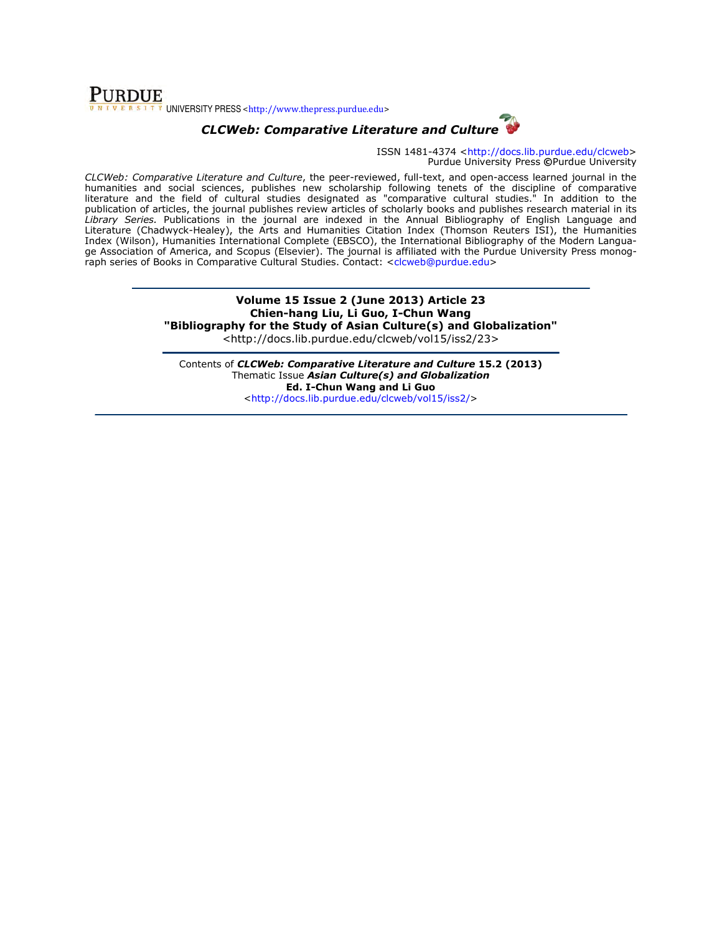## **PURDUE** UNIVERSITY PRESS <http://www.thepress.purdue.edu>



ISSN 1481-4374 <http://docs.lib.purdue.edu/clcweb> Purdue University Press ©Purdue University

CLCWeb: Comparative Literature and Culture, the peer-reviewed, full-text, and open-access learned journal in the humanities and social sciences, publishes new scholarship following tenets of the discipline of comparative literature and the field of cultural studies designated as "comparative cultural studies." In addition to the publication of articles, the journal publishes review articles of scholarly books and publishes research material in its Library Series. Publications in the journal are indexed in the Annual Bibliography of English Language and Literature (Chadwyck-Healey), the Arts and Humanities Citation Index (Thomson Reuters ISI), the Humanities Index (Wilson), Humanities International Complete (EBSCO), the International Bibliography of the Modern Language Association of America, and Scopus (Elsevier). The journal is affiliated with the Purdue University Press monograph series of Books in Comparative Cultural Studies. Contact: <clcweb@purdue.edu>

# Volume 15 Issue 2 (June 2013) Article 23 Chien-hang Liu, Li Guo, I-Chun Wang "Bibliography for the Study of Asian Culture(s) and Globalization"

<http://docs.lib.purdue.edu/clcweb/vol15/iss2/23>

Contents of CLCWeb: Comparative Literature and Culture 15.2 (2013) Thematic Issue Asian Culture(s) and Globalization Ed. I-Chun Wang and Li Guo <http://docs.lib.purdue.edu/clcweb/vol15/iss2/>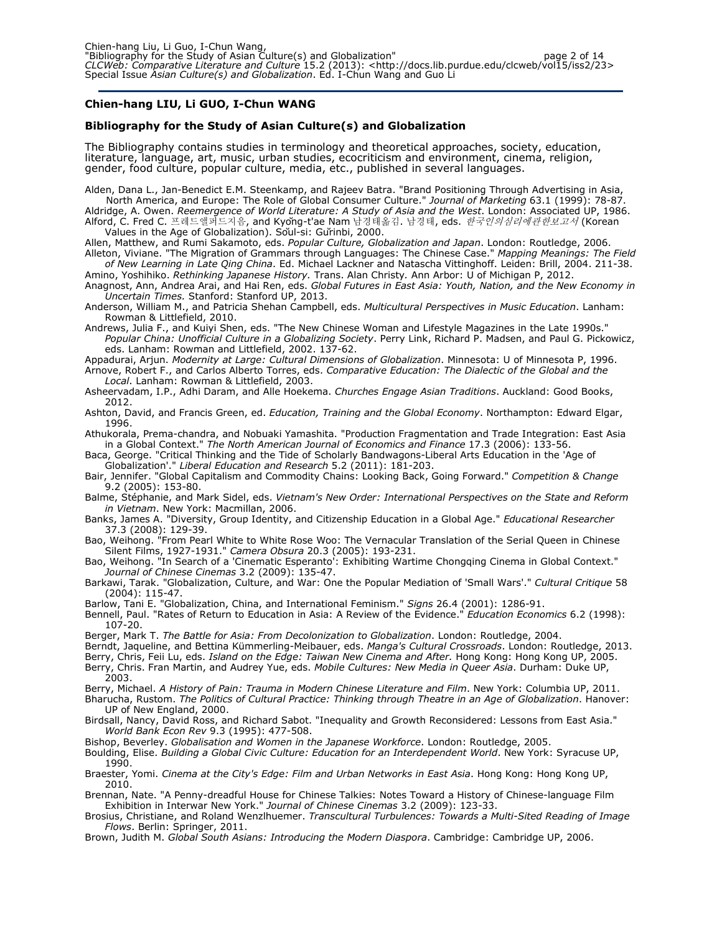#### Chien-hang LIU, Li GUO, I-Chun WANG

#### Bibliography for the Study of Asian Culture(s) and Globalization

The Bibliography contains studies in terminology and theoretical approaches, society, education, literature, language, art, music, urban studies, ecocriticism and environment, cinema, religion, gender, food culture, popular culture, media, etc., published in several languages.

Alden, Dana L., Jan-Benedict E.M. Steenkamp, and Rajeev Batra. "Brand Positioning Through Advertising in Asia, North America, and Europe: The Role of Global Consumer Culture." Journal of Marketing 63.1 (1999): 78-87.

Aldridge, A. Owen. Reemergence of World Literature: A Study of Asia and the West. London: Associated UP, 1986. Alford, C. Fred C. 프레드앨퍼드지음, and Kyǒng-t'ae Nam 남경태옮김. 남경태, eds. *한국인의심리에관한보고서* (Korean Values in the Age of Globalization). Sŏul-si: Gŭrinbi, 2000.

Allen, Matthew, and Rumi Sakamoto, eds. Popular Culture, Globalization and Japan. London: Routledge, 2006. Alleton, Viviane. "The Migration of Grammars through Languages: The Chinese Case." Mapping Meanings: The Field of New Learning in Late Qing China. Ed. Michael Lackner and Natascha Vittinghoff. Leiden: Brill, 2004. 211-38.

Amino, Yoshihiko. Rethinking Japanese History. Trans. Alan Christy. Ann Arbor: U of Michigan P, 2012.

Anagnost, Ann, Andrea Arai, and Hai Ren, eds. Global Futures in East Asia: Youth, Nation, and the New Economy in Uncertain Times. Stanford: Stanford UP, 2013.

Anderson, William M., and Patricia Shehan Campbell, eds. Multicultural Perspectives in Music Education. Lanham: Rowman & Littlefield, 2010.

Andrews, Julia F., and Kuiyi Shen, eds. "The New Chinese Woman and Lifestyle Magazines in the Late 1990s." Popular China: Unofficial Culture in a Globalizing Society. Perry Link, Richard P. Madsen, and Paul G. Pickowicz, eds. Lanham: Rowman and Littlefield, 2002. 137-62.

Appadurai, Arjun. Modernity at Large: Cultural Dimensions of Globalization. Minnesota: U of Minnesota P, 1996. Arnove, Robert F., and Carlos Alberto Torres, eds. Comparative Education: The Dialectic of the Global and the

Local. Lanham: Rowman & Littlefield, 2003.

Asheervadam, I.P., Adhi Daram, and Alle Hoekema. Churches Engage Asian Traditions. Auckland: Good Books, 2012.

Ashton, David, and Francis Green, ed. Education, Training and the Global Economy. Northampton: Edward Elgar, 1996.

Athukorala, Prema-chandra, and Nobuaki Yamashita. "Production Fragmentation and Trade Integration: East Asia in a Global Context." The North American Journal of Economics and Finance 17.3 (2006): 133-56.

Baca, George. "Critical Thinking and the Tide of Scholarly Bandwagons-Liberal Arts Education in the 'Age of Globalization'." Liberal Education and Research 5.2 (2011): 181-203.

Bair, Jennifer. "Global Capitalism and Commodity Chains: Looking Back, Going Forward." Competition & Change 9.2 (2005): 153-80.

Balme, Stéphanie, and Mark Sidel, eds. Vietnam's New Order: International Perspectives on the State and Reform in Vietnam. New York: Macmillan, 2006.

Banks, James A. "Diversity, Group Identity, and Citizenship Education in a Global Age." Educational Researcher 37.3 (2008): 129-39.

Bao, Weihong. "From Pearl White to White Rose Woo: The Vernacular Translation of the Serial Queen in Chinese Silent Films, 1927-1931." Camera Obsura 20.3 (2005): 193-231.

Bao, Weihong. "In Search of a 'Cinematic Esperanto': Exhibiting Wartime Chongqing Cinema in Global Context." Journal of Chinese Cinemas 3.2 (2009): 135-47.

Barkawi, Tarak. "Globalization, Culture, and War: One the Popular Mediation of 'Small Wars'." Cultural Critique 58 (2004): 115-47.

Barlow, Tani E. "Globalization, China, and International Feminism." Signs 26.4 (2001): 1286-91.

Bennell, Paul. "Rates of Return to Education in Asia: A Review of the Evidence." Education Economics 6.2 (1998): 107-20.

Berger, Mark T. The Battle for Asia: From Decolonization to Globalization. London: Routledge, 2004.

Berndt, Jaqueline, and Bettina Kümmerling-Meibauer, eds. Manga's Cultural Crossroads. London: Routledge, 2013.

Berry, Chris, Feii Lu, eds. Island on the Edge: Taiwan New Cinema and After. Hong Kong: Hong Kong UP, 2005. Berry, Chris. Fran Martin, and Audrey Yue, eds. Mobile Cultures: New Media in Queer Asia. Durham: Duke UP, 2003.

Berry, Michael. A History of Pain: Trauma in Modern Chinese Literature and Film. New York: Columbia UP, 2011.

Bharucha, Rustom. The Politics of Cultural Practice: Thinking through Theatre in an Age of Globalization. Hanover: UP of New England, 2000.

Birdsall, Nancy, David Ross, and Richard Sabot. "Inequality and Growth Reconsidered: Lessons from East Asia." World Bank Econ Rev 9.3 (1995): 477-508.

Bishop, Beverley. Globalisation and Women in the Japanese Workforce. London: Routledge, 2005.

Boulding, Elise. Building a Global Civic Culture: Education for an Interdependent World. New York: Syracuse UP, 1990.

Braester, Yomi. *Cinema at the City's Edge: Film and Urban Networks in East Asia*. Hong Kong: Hong Kong UP, 2010.

Brennan, Nate. "A Penny-dreadful House for Chinese Talkies: Notes Toward a History of Chinese-language Film Exhibition in Interwar New York." Journal of Chinese Cinemas 3.2 (2009): 123-33.

Brosius, Christiane, and Roland Wenzlhuemer. Transcultural Turbulences: Towards a Multi-Sited Reading of Image Flows. Berlin: Springer, 2011.

Brown, Judith M. Global South Asians: Introducing the Modern Diaspora. Cambridge: Cambridge UP, 2006.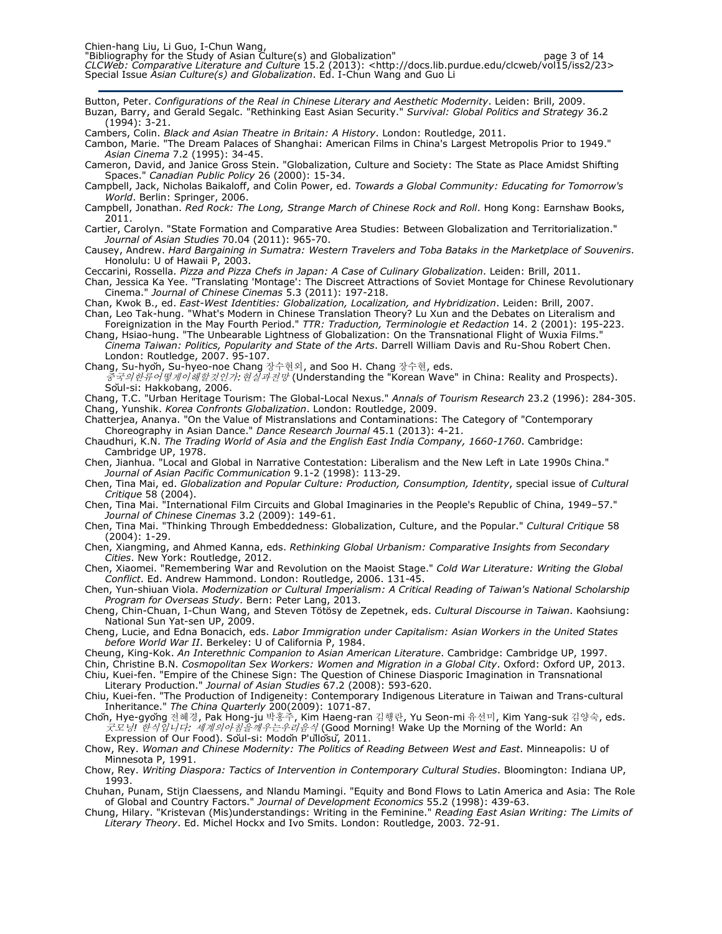Button, Peter. Configurations of the Real in Chinese Literary and Aesthetic Modernity. Leiden: Brill, 2009. Buzan, Barry, and Gerald Segalc. "Rethinking East Asian Security." Survival: Global Politics and Strategy 36.2 (1994): 3-21.

Cambers, Colin. Black and Asian Theatre in Britain: A History. London: Routledge, 2011.

Cambon, Marie. "The Dream Palaces of Shanghai: American Films in China's Largest Metropolis Prior to 1949." Asian Cinema 7.2 (1995): 34-45.

Cameron, David, and Janice Gross Stein. "Globalization, Culture and Society: The State as Place Amidst Shifting Spaces." Canadian Public Policy 26 (2000): 15-34.

Campbell, Jack, Nicholas Baikaloff, and Colin Power, ed. Towards a Global Community: Educating for Tomorrow's World. Berlin: Springer, 2006.

Campbell, Jonathan. Red Rock: The Long, Strange March of Chinese Rock and Roll. Hong Kong: Earnshaw Books, 2011.

Cartier, Carolyn. "State Formation and Comparative Area Studies: Between Globalization and Territorialization." Journal of Asian Studies 70.04 (2011): 965-70.

Causey, Andrew. Hard Bargaining in Sumatra: Western Travelers and Toba Bataks in the Marketplace of Souvenirs. Honolulu: U of Hawaii P, 2003.

Ceccarini, Rossella. Pizza and Pizza Chefs in Japan: A Case of Culinary Globalization. Leiden: Brill, 2011.

Chan, Jessica Ka Yee. "Translating 'Montage': The Discreet Attractions of Soviet Montage for Chinese Revolutionary Cinema." Journal of Chinese Cinemas 5.3 (2011): 197-218.

Chan, Kwok B., ed. East-West Identities: Globalization, Localization, and Hybridization. Leiden: Brill, 2007. Chan, Leo Tak-hung. "What's Modern in Chinese Translation Theory? Lu Xun and the Debates on Literalism and

Foreignization in the May Fourth Period." TTR: Traduction, Terminologie et Redaction 14. 2 (2001): 195-223. Chang, Hsiao-hung. "The Unbearable Lightness of Globalization: On the Transnational Flight of Wuxia Films."

Cinema Taiwan: Politics, Popularity and State of the Arts. Darrell William Davis and Ru-Shou Robert Chen. London: Routledge, 2007. 95-107.

Chang, Su-hyŏn, Su-hyeo-noe Chang 장수현외, and Soo H. Chang 장수현, eds.

중국의한류어떻게이해할것인가:현실과전망 (Understanding the "Korean Wave" in China: Reality and Prospects). Sŏul-si: Hakkobang, 2006.

Chang, T.C. "Urban Heritage Tourism: The Global-Local Nexus." Annals of Tourism Research 23.2 (1996): 284-305. Chang, Yunshik. Korea Confronts Globalization. London: Routledge, 2009.

Chatterjea, Ananya. "On the Value of Mistranslations and Contaminations: The Category of "Contemporary Choreography in Asian Dance." Dance Research Journal 45.1 (2013): 4-21.

Chaudhuri, K.N. The Trading World of Asia and the English East India Company, 1660-1760. Cambridge: Cambridge UP, 1978.

Chen, Jianhua. "Local and Global in Narrative Contestation: Liberalism and the New Left in Late 1990s China." Journal of Asian Pacific Communication 9.1-2 (1998): 113-29.

Chen, Tina Mai, ed. Globalization and Popular Culture: Production, Consumption, Identity, special issue of Cultural Critique 58 (2004).

Chen, Tina Mai. "International Film Circuits and Global Imaginaries in the People's Republic of China, 1949–57." Journal of Chinese Cinemas 3.2 (2009): 149-61.

Chen, Tina Mai. "Thinking Through Embeddedness: Globalization, Culture, and the Popular." Cultural Critique 58 (2004): 1-29.

Chen, Xiangming, and Ahmed Kanna, eds. Rethinking Global Urbanism: Comparative Insights from Secondary Cities. New York: Routledge, 2012.

Chen, Xiaomei. "Remembering War and Revolution on the Maoist Stage." Cold War Literature: Writing the Global Conflict. Ed. Andrew Hammond. London: Routledge, 2006. 131-45.

Chen, Yun-shiuan Viola. Modernization or Cultural Imperialism: A Critical Reading of Taiwan's National Scholarship Program for Overseas Study. Bern: Peter Lang, 2013.

Cheng, Chin-Chuan, I-Chun Wang, and Steven Tötösy de Zepetnek, eds. Cultural Discourse in Taiwan. Kaohsiung: National Sun Yat-sen UP, 2009.

Cheng, Lucie, and Edna Bonacich, eds. Labor Immigration under Capitalism: Asian Workers in the United States before World War II. Berkeley: U of California P, 1984.

Cheung, King-Kok. An Interethnic Companion to Asian American Literature. Cambridge: Cambridge UP, 1997.

Chin, Christine B.N. Cosmopolitan Sex Workers: Women and Migration in a Global City. Oxford: Oxford UP, 2013.

Chiu, Kuei-fen. "Empire of the Chinese Sign: The Question of Chinese Diasporic Imagination in Transnational Literary Production." Journal of Asian Studies 67.2 (2008): 593-620.

Chiu, Kuei-fen. "The Production of Indigeneity: Contemporary Indigenous Literature in Taiwan and Trans-cultural Inheritance." The China Quarterly 200(2009): 1071-87.

Chŏn, Hye-gyŏng 전혜경, Pak Hong-ju 박홍주, Kim Haeng-ran 김행란, Yu Seon-mi 유선미, Kim Yang-suk 김양숙, eds. 굿모닝! 한식입니다: 세계의아침을깨우는우리음식 (Good Morning! Wake Up the Morning of the World: An Expression of Our Food). Sŏul-si: Modŏn P'ŭllŏsŭ, 2011.

Chow, Rey. Woman and Chinese Modernity: The Politics of Reading Between West and East. Minneapolis: U of Minnesota P, 1991.

Chow, Rey. Writing Diaspora: Tactics of Intervention in Contemporary Cultural Studies. Bloomington: Indiana UP, 1993.

Chuhan, Punam, Stijn Claessens, and Nlandu Mamingi. "Equity and Bond Flows to Latin America and Asia: The Role of Global and Country Factors." Journal of Development Economics 55.2 (1998): 439-63.

Chung, Hilary. "Kristevan (Mis)understandings: Writing in the Feminine." Reading East Asian Writing: The Limits of Literary Theory. Ed. Michel Hockx and Ivo Smits. London: Routledge, 2003. 72-91.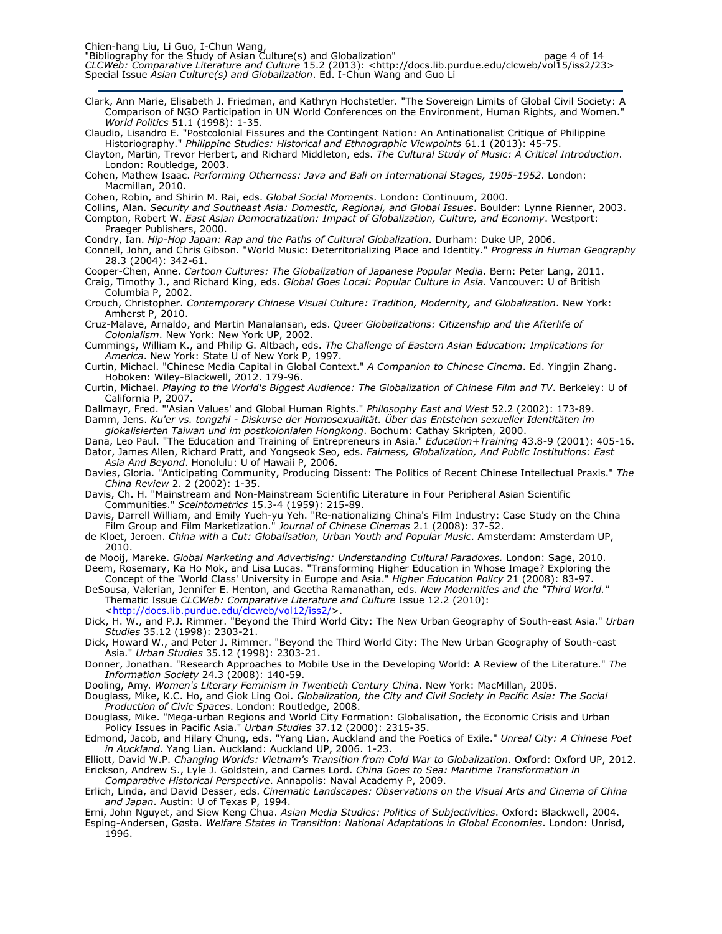"Bibliography for the Study of Asian Culture(s) and Globalization" https://www.charabio.com/2014/05/14 CLCWeb: Comparative Literature and Culture 15.2 (2013): <http://docs.lib.purdue.edu/clcweb/vol15/iss2/23> Special Issue *Asian Culture(s) and Globalization*. Ed. I-Chun Wang and Guo Li

Clark, Ann Marie, Elisabeth J. Friedman, and Kathryn Hochstetler. "The Sovereign Limits of Global Civil Society: A Comparison of NGO Participation in UN World Conferences on the Environment, Human Rights, and Women." World Politics 51.1 (1998): 1-35.

Claudio, Lisandro E. "Postcolonial Fissures and the Contingent Nation: An Antinationalist Critique of Philippine Historiography." Philippine Studies: Historical and Ethnographic Viewpoints 61.1 (2013): 45-75.

Clayton, Martin, Trevor Herbert, and Richard Middleton, eds. The Cultural Study of Music: A Critical Introduction. London: Routledge, 2003.

Cohen, Mathew Isaac. Performing Otherness: Java and Bali on International Stages, 1905-1952. London: Macmillan, 2010.

Cohen, Robin, and Shirin M. Rai, eds. Global Social Moments. London: Continuum, 2000.

Collins, Alan. Security and Southeast Asia: Domestic, Regional, and Global Issues. Boulder: Lynne Rienner, 2003. Compton, Robert W. East Asian Democratization: Impact of Globalization, Culture, and Economy. Westport: Praeger Publishers, 2000.

Condry, Ian. Hip-Hop Japan: Rap and the Paths of Cultural Globalization. Durham: Duke UP, 2006.

Connell, John, and Chris Gibson. "World Music: Deterritorializing Place and Identity." Progress in Human Geography 28.3 (2004): 342-61.

Cooper-Chen, Anne. Cartoon Cultures: The Globalization of Japanese Popular Media. Bern: Peter Lang, 2011. Craig, Timothy J., and Richard King, eds. Global Goes Local: Popular Culture in Asia. Vancouver: U of British Columbia P, 2002.

Crouch, Christopher. Contemporary Chinese Visual Culture: Tradition, Modernity, and Globalization. New York: Amherst P, 2010.

Cruz-Malave, Arnaldo, and Martin Manalansan, eds. Queer Globalizations: Citizenship and the Afterlife of Colonialism. New York: New York UP, 2002.

Cummings, William K., and Philip G. Altbach, eds. The Challenge of Eastern Asian Education: Implications for America. New York: State U of New York P, 1997.

Curtin, Michael. "Chinese Media Capital in Global Context." A Companion to Chinese Cinema. Ed. Yingjin Zhang. Hoboken: Wiley-Blackwell, 2012. 179-96.

Curtin, Michael. Playing to the World's Biggest Audience: The Globalization of Chinese Film and TV. Berkeley: U of California P, 2007.

Dallmayr, Fred. "'Asian Values' and Global Human Rights." *Philosophy East and West* 52.2 (2002): 173-89.

Damm, Jens. Ku'er vs. tongzhi - Diskurse der Homosexualität. Über das Entstehen sexueller Identitäten im glokalisierten Taiwan und im postkolonialen Hongkong. Bochum: Cathay Skripten, 2000.

Dana, Leo Paul. "The Education and Training of Entrepreneurs in Asia." Education+Training 43.8-9 (2001): 405-16.

Dator, James Allen, Richard Pratt, and Yongseok Seo, eds. Fairness, Globalization, And Public Institutions: East Asia And Beyond. Honolulu: U of Hawaii P, 2006.

Davies, Gloria. "Anticipating Community, Producing Dissent: The Politics of Recent Chinese Intellectual Praxis." The China Review 2. 2 (2002): 1-35.

Davis, Ch. H. "Mainstream and Non-Mainstream Scientific Literature in Four Peripheral Asian Scientific Communities." Sceintometrics 15.3-4 (1959): 215-89.

Davis, Darrell William, and Emily Yueh-yu Yeh. "Re-nationalizing China's Film Industry: Case Study on the China Film Group and Film Marketization." Journal of Chinese Cinemas 2.1 (2008): 37-52.

de Kloet, Jeroen. China with a Cut: Globalisation, Urban Youth and Popular Music. Amsterdam: Amsterdam UP, 2010.

de Mooij, Mareke. Global Marketing and Advertising: Understanding Cultural Paradoxes. London: Sage, 2010. Deem, Rosemary, Ka Ho Mok, and Lisa Lucas. "Transforming Higher Education in Whose Image? Exploring the

Concept of the 'World Class' University in Europe and Asia." Higher Education Policy 21 (2008): 83-97. DeSousa, Valerian, Jennifer E. Henton, and Geetha Ramanathan, eds. New Modernities and the "Third World."

Thematic Issue CLCWeb: Comparative Literature and Culture Issue 12.2 (2010): <http://docs.lib.purdue.edu/clcweb/vol12/iss2/>.

Dick, H. W., and P.J. Rimmer. "Beyond the Third World City: The New Urban Geography of South-east Asia." *Urban* Studies 35.12 (1998): 2303-21.

Dick, Howard W., and Peter J. Rimmer. "Beyond the Third World City: The New Urban Geography of South-east Asia." Urban Studies 35.12 (1998): 2303-21.

Donner, Jonathan. "Research Approaches to Mobile Use in the Developing World: A Review of the Literature." The Information Society 24.3 (2008): 140-59.

Dooling, Amy. Women's Literary Feminism in Twentieth Century China. New York: MacMillan, 2005.

Douglass, Mike, K.C. Ho, and Giok Ling Ooi. Globalization, the City and Civil Society in Pacific Asia: The Social Production of Civic Spaces. London: Routledge, 2008.

Douglass, Mike. "Mega-urban Regions and World City Formation: Globalisation, the Economic Crisis and Urban Policy Issues in Pacific Asia." Urban Studies 37.12 (2000): 2315-35.

Edmond, Jacob, and Hilary Chung, eds. "Yang Lian, Auckland and the Poetics of Exile." Unreal City: A Chinese Poet in Auckland. Yang Lian. Auckland: Auckland UP, 2006. 1-23.

Elliott, David W.P. Changing Worlds: Vietnam's Transition from Cold War to Globalization. Oxford: Oxford UP, 2012. Erickson, Andrew S., Lyle J. Goldstein, and Carnes Lord. China Goes to Sea: Maritime Transformation in

Comparative Historical Perspective. Annapolis: Naval Academy P, 2009.

Erlich, Linda, and David Desser, eds. Cinematic Landscapes: Observations on the Visual Arts and Cinema of China and Japan. Austin: U of Texas P, 1994.

Erni, John Nguyet, and Siew Keng Chua. Asian Media Studies: Politics of Subjectivities. Oxford: Blackwell, 2004.

Esping-Andersen, Gøsta. Welfare States in Transition: National Adaptations in Global Economies. London: Unrisd, 1996.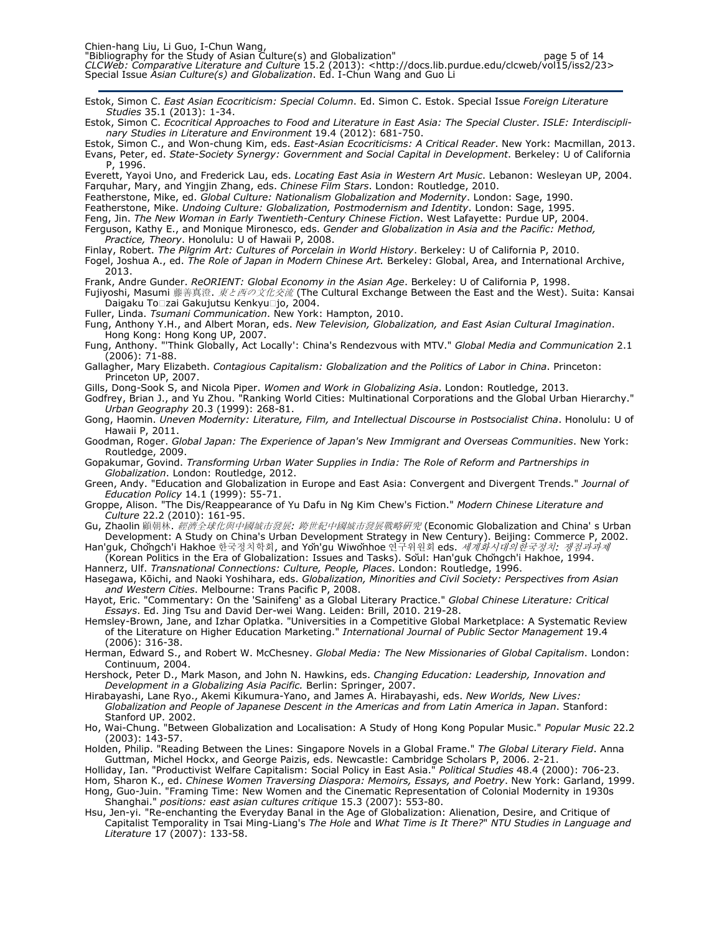Estok, Simon C. East Asian Ecocriticism: Special Column. Ed. Simon C. Estok. Special Issue Foreign Literature Studies 35.1 (2013): 1-34.

Estok, Simon C. Ecocritical Approaches to Food and Literature in East Asia: The Special Cluster. ISLE: Interdisciplinary Studies in Literature and Environment 19.4 (2012): 681-750.

Estok, Simon C., and Won-chung Kim, eds. East-Asian Ecocriticisms: A Critical Reader. New York: Macmillan, 2013. Evans, Peter, ed. State-Society Synergy: Government and Social Capital in Development. Berkeley: U of California P, 1996.

Everett, Yayoi Uno, and Frederick Lau, eds. Locating East Asia in Western Art Music. Lebanon: Wesleyan UP, 2004. Farquhar, Mary, and Yingjin Zhang, eds. Chinese Film Stars. London: Routledge, 2010.

Featherstone, Mike, ed. Global Culture: Nationalism Globalization and Modernity. London: Sage, 1990.

Featherstone, Mike. Undoing Culture: Globalization, Postmodernism and Identity. London: Sage, 1995.

Feng, Jin. The New Woman in Early Twentieth-Century Chinese Fiction. West Lafayette: Purdue UP, 2004. Ferguson, Kathy E., and Monique Mironesco, eds. Gender and Globalization in Asia and the Pacific: Method, Practice, Theory. Honolulu: U of Hawaii P, 2008.

Finlay, Robert. The Pilgrim Art: Cultures of Porcelain in World History. Berkeley: U of California P, 2010.

Fogel, Joshua A., ed. The Role of Japan in Modern Chinese Art. Berkeley: Global, Area, and International Archive, 2013.

Frank, Andre Gunder. ReORIENT: Global Economy in the Asian Age. Berkeley: U of California P, 1998.

Fujiyoshi, Masumi 藤善真澄. *東と西の文化交流* (The Cultural Exchange Between the East and the West). Suita: Kansai Daigaku To zai Gakujutsu Kenkyu jo, 2004.

Fuller, Linda. Tsumani Communication. New York: Hampton, 2010.

Fung, Anthony Y.H., and Albert Moran, eds. New Television, Globalization, and East Asian Cultural Imagination. Hong Kong: Hong Kong UP, 2007.

Fung, Anthony. "'Think Globally, Act Locally': China's Rendezvous with MTV." Global Media and Communication 2.1 (2006): 71-88.

Gallagher, Mary Elizabeth. Contagious Capitalism: Globalization and the Politics of Labor in China. Princeton: Princeton UP, 2007.

Gills, Dong-Sook S, and Nicola Piper. Women and Work in Globalizing Asia. London: Routledge, 2013.

Godfrey, Brian J., and Yu Zhou. "Ranking World Cities: Multinational Corporations and the Global Urban Hierarchy." Urban Geography 20.3 (1999): 268-81.

Gong, Haomin. Uneven Modernity: Literature, Film, and Intellectual Discourse in Postsocialist China. Honolulu: U of Hawaii P, 2011.

Goodman, Roger. Global Japan: The Experience of Japan's New Immigrant and Overseas Communities. New York: Routledge, 2009.

Gopakumar, Govind. Transforming Urban Water Supplies in India: The Role of Reform and Partnerships in Globalization. London: Routledge, 2012.

Green, Andy. "Education and Globalization in Europe and East Asia: Convergent and Divergent Trends." Journal of Education Policy 14.1 (1999): 55-71.

Groppe, Alison. "The Dis/Reappearance of Yu Dafu in Ng Kim Chew's Fiction." Modern Chinese Literature and Culture 22.2 (2010): 161-95.

Gu, Zhaolin 顧朝林. 經濟全球化與中國城市發展: 跨世紀中國城市發展戰略硏究 (Economic Globalization and China' s Urban Development: A Study on China's Urban Development Strategy in New Century). Beijing: Commerce P, 2002.

Han'guk, Chǒngch'i Hakhoe 한국정치학회, and Yǒn'gu Wiwǒnhoe 연구위원회 eds. *세계화시대의한국정치: 쟁점과과제* (Korean Politics in the Era of Globalization: Issues and Tasks). Sŏul: Han'guk Chŏngch'i Hakhoe, 1994.

Hannerz, Ulf. Transnational Connections: Culture, People, Places. London: Routledge, 1996.

Hasegawa, Kōichi, and Naoki Yoshihara, eds. Globalization, Minorities and Civil Society: Perspectives from Asian and Western Cities. Melbourne: Trans Pacific P, 2008.

Hayot, Eric. "Commentary: On the 'Sainifeng' as a Global Literary Practice." Global Chinese Literature: Critical Essays. Ed. Jing Tsu and David Der-wei Wang. Leiden: Brill, 2010. 219-28.

Hemsley-Brown, Jane, and Izhar Oplatka. "Universities in a Competitive Global Marketplace: A Systematic Review of the Literature on Higher Education Marketing." International Journal of Public Sector Management 19.4 (2006): 316-38.

Herman, Edward S., and Robert W. McChesney. Global Media: The New Missionaries of Global Capitalism. London: Continuum, 2004.

Hershock, Peter D., Mark Mason, and John N. Hawkins, eds. Changing Education: Leadership, Innovation and Development in a Globalizing Asia Pacific. Berlin: Springer, 2007.

Hirabayashi, Lane Ryo., Akemi Kikumura-Yano, and James A. Hirabayashi, eds. New Worlds, New Lives: Globalization and People of Japanese Descent in the Americas and from Latin America in Japan. Stanford: Stanford UP. 2002.

Ho, Wai-Chung. "Between Globalization and Localisation: A Study of Hong Kong Popular Music." *Popular Music* 22.2 (2003): 143-57.

Holden, Philip. "Reading Between the Lines: Singapore Novels in a Global Frame." The Global Literary Field. Anna Guttman, Michel Hockx, and George Paizis, eds. Newcastle: Cambridge Scholars P, 2006. 2-21.

Holliday, Ian. "Productivist Welfare Capitalism: Social Policy in East Asia." Political Studies 48.4 (2000): 706-23.

Hom, Sharon K., ed. Chinese Women Traversing Diaspora: Memoirs, Essays, and Poetry. New York: Garland, 1999. Hong, Guo-Juin. "Framing Time: New Women and the Cinematic Representation of Colonial Modernity in 1930s Shanghai." positions: east asian cultures critique 15.3 (2007): 553-80.

Hsu, Jen-yi. "Re-enchanting the Everyday Banal in the Age of Globalization: Alienation, Desire, and Critique of Capitalist Temporality in Tsai Ming-Liang's The Hole and What Time is It There?" NTU Studies in Language and Literature 17 (2007): 133-58.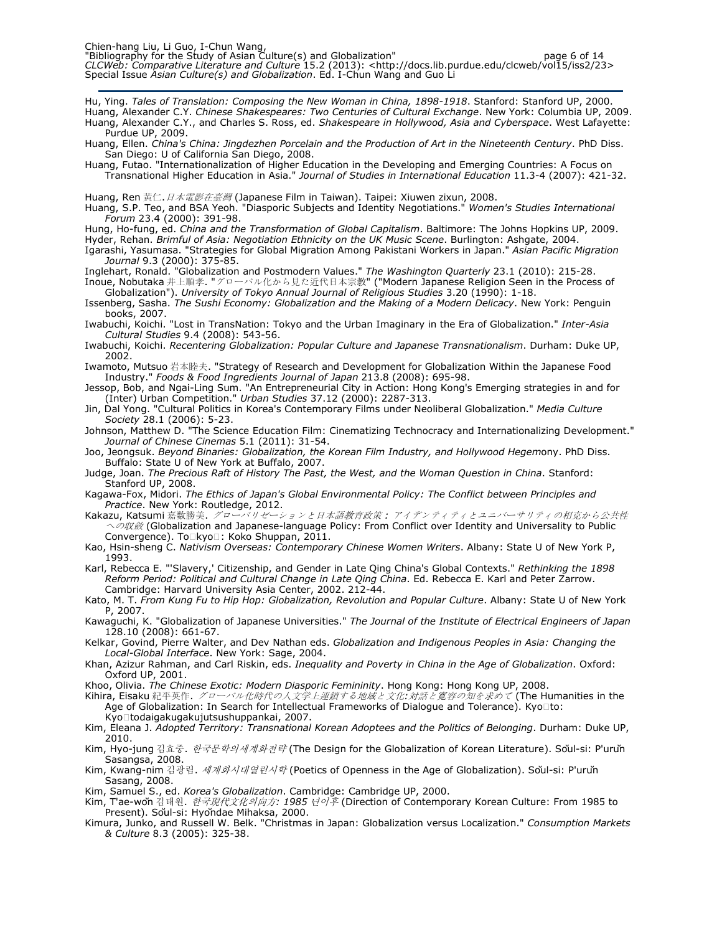Hu, Ying. Tales of Translation: Composing the New Woman in China, 1898-1918. Stanford: Stanford UP, 2000. Huang, Alexander C.Y. Chinese Shakespeares: Two Centuries of Cultural Exchange. New York: Columbia UP, 2009. Huang, Alexander C.Y., and Charles S. Ross, ed. Shakespeare in Hollywood, Asia and Cyberspace. West Lafayette: Purdue UP, 2009.

Huang, Ellen. China's China: Jingdezhen Porcelain and the Production of Art in the Nineteenth Century. PhD Diss. San Diego: U of California San Diego, 2008.

Huang, Futao. "Internationalization of Higher Education in the Developing and Emerging Countries: A Focus on Transnational Higher Education in Asia." Journal of Studies in International Education 11.3-4 (2007): 421-32.

Huang, Ren 黃仁.  $\vec{H} \times \vec{B}$  *在臺灣* (Japanese Film in Taiwan). Taipei: Xiuwen zixun, 2008.

Huang, S.P. Teo, and BSA Yeoh. "Diasporic Subjects and Identity Negotiations." Women's Studies International Forum 23.4 (2000): 391-98.

Hung, Ho-fung, ed. China and the Transformation of Global Capitalism. Baltimore: The Johns Hopkins UP, 2009. Hyder, Rehan. Brimful of Asia: Negotiation Ethnicity on the UK Music Scene. Burlington: Ashgate, 2004.

Igarashi, Yasumasa. "Strategies for Global Migration Among Pakistani Workers in Japan." Asian Pacific Migration Journal 9.3 (2000): 375-85.

Inglehart, Ronald. "Globalization and Postmodern Values." The Washington Quarterly 23.1 (2010): 215-28. Inoue, Nobutaka 井上順孝. "グローバル化から見た近代日本宗教" ("Modern Japanese Religion Seen in the Process of Globalization"). University of Tokyo Annual Journal of Religious Studies 3.20 (1990): 1-18.

Issenberg, Sasha. The Sushi Economy: Globalization and the Making of a Modern Delicacy. New York: Penguin books, 2007.

Iwabuchi, Koichi. "Lost in TransNation: Tokyo and the Urban Imaginary in the Era of Globalization." Inter-Asia Cultural Studies 9.4 (2008): 543-56.

Iwabuchi, Koichi. Recentering Globalization: Popular Culture and Japanese Transnationalism. Durham: Duke UP, 2002.

Iwamoto, Mutsuo 岩本睦夫. "Strategy of Research and Development for Globalization Within the Japanese Food Industry." Foods & Food Ingredients Journal of Japan 213.8 (2008): 695-98.

Jessop, Bob, and Ngai-Ling Sum. "An Entrepreneurial City in Action: Hong Kong's Emerging strategies in and for (Inter) Urban Competition." Urban Studies 37.12 (2000): 2287-313.

Jin, Dal Yong. "Cultural Politics in Korea's Contemporary Films under Neoliberal Globalization." Media Culture Society 28.1 (2006): 5-23.

Johnson, Matthew D. "The Science Education Film: Cinematizing Technocracy and Internationalizing Development." Journal of Chinese Cinemas 5.1 (2011): 31-54.

Joo, Jeongsuk. Beyond Binaries: Globalization, the Korean Film Industry, and Hollywood Hegemony. PhD Diss. Buffalo: State U of New York at Buffalo, 2007.

Judge, Joan. The Precious Raft of History The Past, the West, and the Woman Question in China. Stanford: Stanford UP, 2008.

Kagawa-Fox, Midori. The Ethics of Japan's Global Environmental Policy: The Conflict between Principles and Practice. New York: Routledge, 2012.

Kakazu, Katsumi 嘉数勝美. グローバリゼーションと日本語教育政策: アイデンティティとユニバーサリティの相克から公共性 への収斂 (Globalization and Japanese-language Policy: From Conflict over Identity and Universality to Public Convergence). To kyo: Koko Shuppan, 2011.

Kao, Hsin-sheng C. Nativism Overseas: Contemporary Chinese Women Writers. Albany: State U of New York P, 1993.

Karl, Rebecca E. "'Slavery,' Citizenship, and Gender in Late Qing China's Global Contexts." Rethinking the 1898 Reform Period: Political and Cultural Change in Late Qing China. Ed. Rebecca E. Karl and Peter Zarrow. Cambridge: Harvard University Asia Center, 2002. 212-44.

Kato, M. T. From Kung Fu to Hip Hop: Globalization, Revolution and Popular Culture. Albany: State U of New York P, 2007.

Kawaguchi, K. "Globalization of Japanese Universities." The Journal of the Institute of Electrical Engineers of Japan 128.10 (2008): 661-67.

Kelkar, Govind, Pierre Walter, and Dev Nathan eds. Globalization and Indigenous Peoples in Asia: Changing the Local-Global Interface. New York: Sage, 2004.

Khan, Azizur Rahman, and Carl Riskin, eds. Inequality and Poverty in China in the Age of Globalization. Oxford: Oxford UP, 2001.

Khoo, Olivia. *The Chinese Exotic: Modern Diasporic Femininity*. Hong Kong: Hong Kong UP, 2008.

Kihira, Eisaku 紀平英作. *グローバル化時代の人文学上連鎖する地域と文化:対話と寛容の知を求めて* (The Humanities in the Age of Globalization: In Search for Intellectual Frameworks of Dialogue and Tolerance). Kyo to: Kyo todaigakugakujutsushuppankai, 2007.

Kim, Eleana J. Adopted Territory: Transnational Korean Adoptees and the Politics of Belonging. Durham: Duke UP, 2010.

Kim, Hyo-jung 김효중. 한국문학의세계화전략 (The Design for the Globalization of Korean Literature). Sŏul-si: P'urŭn Sasangsa, 2008.

Kim, Kwang-nim 김광림. 세계화시대열린시학 (Poetics of Openness in the Age of Globalization). Sŏul-si: P'urŭn Sasang, 2008.

Kim, Samuel S., ed. Korea's Globalization. Cambridge: Cambridge UP, 2000.

Kim, T'ae-wǒn 김태원. *한국現代文化의向方: 1985 년이후* (Direction of Contemporary Korean Culture: From 1985 to Present). Sŏul-si: Hyŏndae Mihaksa, 2000.

Kimura, Junko, and Russell W. Belk. "Christmas in Japan: Globalization versus Localization." Consumption Markets & Culture 8.3 (2005): 325-38.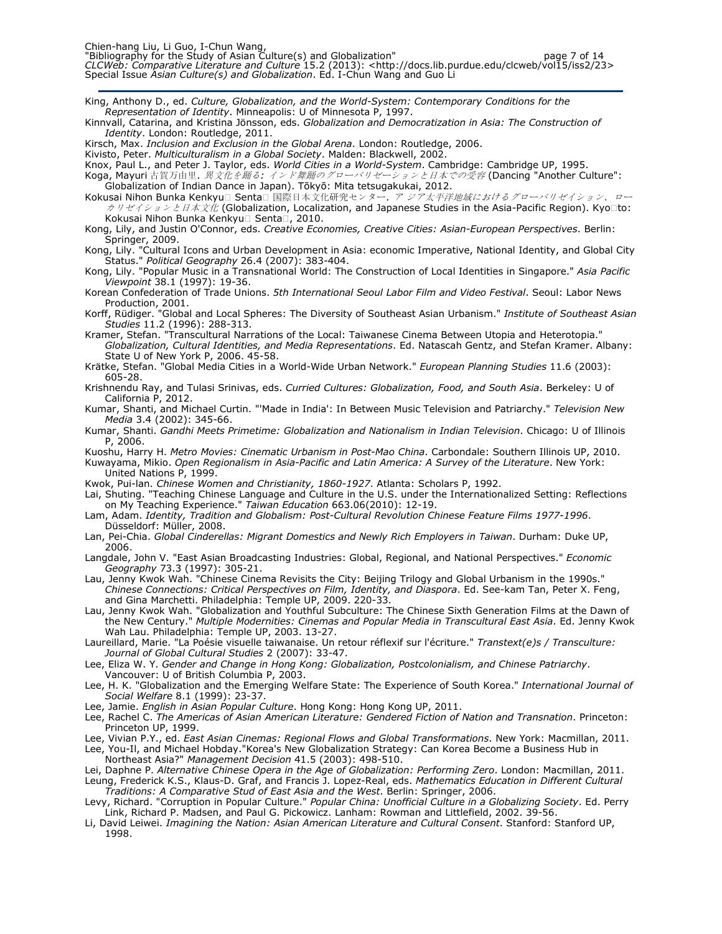King, Anthony D., ed. Culture, Globalization, and the World-System: Contemporary Conditions for the Representation of Identity. Minneapolis: U of Minnesota P, 1997.

Kinnvall, Catarina, and Kristina Jönsson, eds. Globalization and Democratization in Asia: The Construction of Identity. London: Routledge, 2011.

Kirsch, Max. Inclusion and Exclusion in the Global Arena. London: Routledge, 2006.

Kivisto, Peter. Multiculturalism in a Global Society. Malden: Blackwell, 2002.

Knox, Paul L., and Peter J. Taylor, eds. World Cities in a World-System. Cambridge: Cambridge UP, 1995.

Koga, Mayuri 古賀万由里. *異文化を踊る: インド舞踊のグローバリゼーションと日本での受容* (Dancing "Another Culture": Globalization of Indian Dance in Japan). Tōkyō: Mita tetsugakukai, 2012.

Kokusai Nihon Bunka Kenkyu Senta 国際日本文化研究センター. ア ジア太*平洋地域におけるグローバリゼイション、ロー* カリゼイションと日本文化 (Globalization, Localization, and Japanese Studies in the Asia-Pacific Region). Kyo to: Kokusai Nihon Bunka Kenkyu Senta, 2010.

Kong, Lily, and Justin O'Connor, eds. Creative Economies, Creative Cities: Asian-European Perspectives. Berlin: Springer, 2009.

Kong, Lily. "Cultural Icons and Urban Development in Asia: economic Imperative, National Identity, and Global City Status." Political Geography 26.4 (2007): 383-404.

Kong, Lily. "Popular Music in a Transnational World: The Construction of Local Identities in Singapore." Asia Pacific Viewpoint 38.1 (1997): 19-36.

Korean Confederation of Trade Unions. 5th International Seoul Labor Film and Video Festival. Seoul: Labor News Production, 2001.

Korff, Rüdiger. "Global and Local Spheres: The Diversity of Southeast Asian Urbanism." Institute of Southeast Asian Studies 11.2 (1996): 288-313.

Kramer, Stefan. "Transcultural Narrations of the Local: Taiwanese Cinema Between Utopia and Heterotopia." Globalization, Cultural Identities, and Media Representations. Ed. Natascah Gentz, and Stefan Kramer. Albany: State U of New York P, 2006. 45-58.

Krätke, Stefan. "Global Media Cities in a World-Wide Urban Network." European Planning Studies 11.6 (2003): 605-28.

Krishnendu Ray, and Tulasi Srinivas, eds. Curried Cultures: Globalization, Food, and South Asia. Berkeley: U of California P, 2012.

Kumar, Shanti, and Michael Curtin. "'Made in India': In Between Music Television and Patriarchy." Television New Media 3.4 (2002): 345-66.

Kumar, Shanti. Gandhi Meets Primetime: Globalization and Nationalism in Indian Television. Chicago: U of Illinois P, 2006.

Kuoshu, Harry H. Metro Movies: Cinematic Urbanism in Post-Mao China. Carbondale: Southern Illinois UP, 2010.

Kuwayama, Mikio. Open Regionalism in Asia-Pacific and Latin America: A Survey of the Literature. New York: United Nations P, 1999.

Kwok, Pui-lan. Chinese Women and Christianity, 1860-1927. Atlanta: Scholars P, 1992.

Lai, Shuting. "Teaching Chinese Language and Culture in the U.S. under the Internationalized Setting: Reflections on My Teaching Experience." Taiwan Education 663.06(2010): 12-19.

Lam, Adam. Identity, Tradition and Globalism: Post-Cultural Revolution Chinese Feature Films 1977-1996. Düsseldorf: Müller, 2008.

Lan, Pei-Chia. Global Cinderellas: Migrant Domestics and Newly Rich Employers in Taiwan. Durham: Duke UP, 2006.

Langdale, John V. "East Asian Broadcasting Industries: Global, Regional, and National Perspectives." Economic Geography 73.3 (1997): 305-21.

Lau, Jenny Kwok Wah. "Chinese Cinema Revisits the City: Beijing Trilogy and Global Urbanism in the 1990s." Chinese Connections: Critical Perspectives on Film, Identity, and Diaspora. Ed. See-kam Tan, Peter X. Feng, and Gina Marchetti. Philadelphia: Temple UP, 2009. 220-33.

Lau, Jenny Kwok Wah. "Globalization and Youthful Subculture: The Chinese Sixth Generation Films at the Dawn of the New Century." *Multiple Modernities: Cinemas and Popular Media in Transcultural East Asia*. Ed. Jenny Kwok Wah Lau. Philadelphia: Temple UP, 2003. 13-27.

Laureillard, Marie. "La Poésie visuelle taiwanaise. Un retour réflexif sur l'écriture." Transtext(e)s / Transculture: Journal of Global Cultural Studies 2 (2007): 33-47.

Lee, Eliza W. Y. Gender and Change in Hong Kong: Globalization, Postcolonialism, and Chinese Patriarchy. Vancouver: U of British Columbia P, 2003.

Lee, H. K. "Globalization and the Emerging Welfare State: The Experience of South Korea." International Journal of Social Welfare 8.1 (1999): 23-37.

Lee, Jamie. English in Asian Popular Culture. Hong Kong: Hong Kong UP, 2011.

Lee, Rachel C. The Americas of Asian American Literature: Gendered Fiction of Nation and Transnation. Princeton: Princeton UP, 1999.

Lee, Vivian P.Y., ed. East Asian Cinemas: Regional Flows and Global Transformations. New York: Macmillan, 2011.

Lee, You-Il, and Michael Hobday."Korea's New Globalization Strategy: Can Korea Become a Business Hub in Northeast Asia?" Management Decision 41.5 (2003): 498-510.

Lei, Daphne P. Alternative Chinese Opera in the Age of Globalization: Performing Zero. London: Macmillan, 2011.

Leung, Frederick K.S., Klaus-D. Graf, and Francis J. Lopez-Real, eds. Mathematics Education in Different Cultural Traditions: A Comparative Stud of East Asia and the West. Berlin: Springer, 2006.

Levy, Richard. "Corruption in Popular Culture." *Popular China: Unofficial Culture in a Globalizing Society*. Ed. Perry Link, Richard P. Madsen, and Paul G. Pickowicz. Lanham: Rowman and Littlefield, 2002. 39-56.

Li, David Leiwei. Imagining the Nation: Asian American Literature and Cultural Consent. Stanford: Stanford UP, 1998.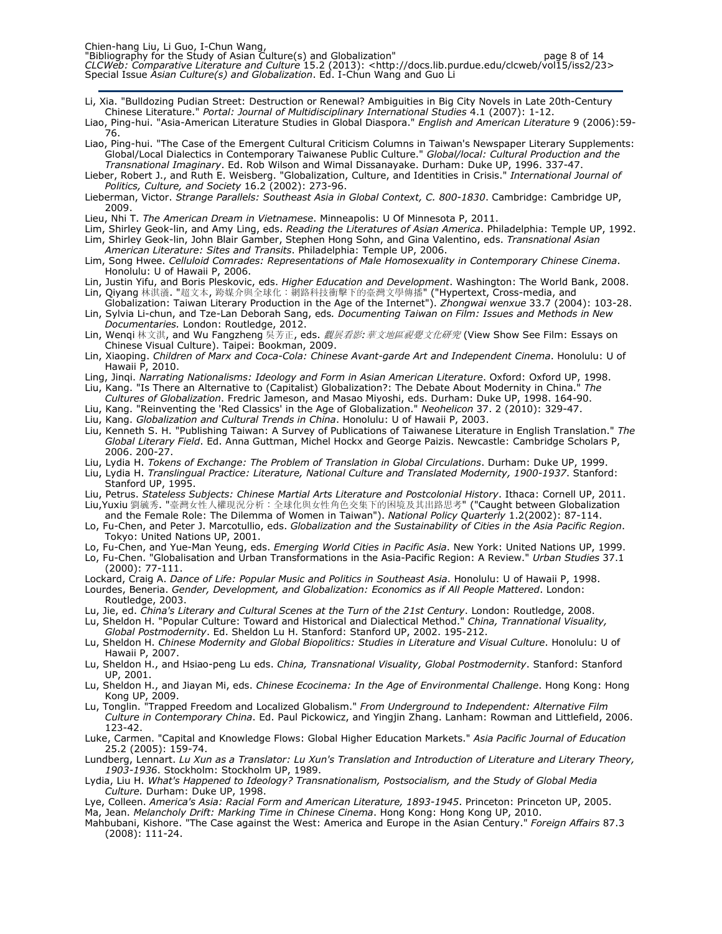Li, Xia. "Bulldozing Pudian Street: Destruction or Renewal? Ambiguities in Big City Novels in Late 20th-Century Chinese Literature." Portal: Journal of Multidisciplinary International Studies 4.1 (2007): 1-12.

Liao, Ping-hui. "Asia-American Literature Studies in Global Diaspora." English and American Literature 9 (2006):59-76.

- Liao, Ping-hui. "The Case of the Emergent Cultural Criticism Columns in Taiwan's Newspaper Literary Supplements: Global/Local Dialectics in Contemporary Taiwanese Public Culture." Global/local: Cultural Production and the Transnational Imaginary. Ed. Rob Wilson and Wimal Dissanayake. Durham: Duke UP, 1996. 337-47.
- Lieber, Robert J., and Ruth E. Weisberg. "Globalization, Culture, and Identities in Crisis." International Journal of Politics, Culture, and Society 16.2 (2002): 273-96.
- Lieberman, Victor. Strange Parallels: Southeast Asia in Global Context, C. 800-1830. Cambridge: Cambridge UP, 2009.
- Lieu, Nhi T. The American Dream in Vietnamese. Minneapolis: U Of Minnesota P, 2011.
- Lim, Shirley Geok-lin, and Amy Ling, eds. Reading the Literatures of Asian America. Philadelphia: Temple UP, 1992. Lim, Shirley Geok-lin, John Blair Gamber, Stephen Hong Sohn, and Gina Valentino, eds. Transnational Asian American Literature: Sites and Transits. Philadelphia: Temple UP, 2006.
- Lim, Song Hwee. Celluloid Comrades: Representations of Male Homosexuality in Contemporary Chinese Cinema. Honolulu: U of Hawaii P, 2006.
- Lin, Justin Yifu, and Boris Pleskovic, eds. Higher Education and Development. Washington: The World Bank, 2008.
- Lin, Qiyang 林淇瀁. "超文本, 跨媒介與全球化:網路科技衝擊下的臺灣文學傳播" ("Hypertext, Cross-media, and Globalization: Taiwan Literary Production in the Age of the Internet"). Zhongwai wenxue 33.7 (2004): 103-28.
- Lin, Sylvia Li-chun, and Tze-Lan Deborah Sang, eds. Documenting Taiwan on Film: Issues and Methods in New Documentaries. London: Routledge, 2012.
- Lin, Wenqi 林文淇, and Wu Fangzheng 吳芳正, eds. *觀展看影: 華文地區視覺文化研究* (View Show See Film: Essays on Chinese Visual Culture). Taipei: Bookman, 2009.
- Lin, Xiaoping. Children of Marx and Coca-Cola: Chinese Avant-garde Art and Independent Cinema. Honolulu: U of Hawaii P, 2010.
- Ling, Jinqi. Narrating Nationalisms: Ideology and Form in Asian American Literature. Oxford: Oxford UP, 1998.
- Liu, Kang. "Is There an Alternative to (Capitalist) Globalization?: The Debate About Modernity in China." The Cultures of Globalization. Fredric Jameson, and Masao Miyoshi, eds. Durham: Duke UP, 1998. 164-90.
- Liu, Kang. "Reinventing the 'Red Classics' in the Age of Globalization." Neohelicon 37. 2 (2010): 329-47.
- Liu, Kang. Globalization and Cultural Trends in China. Honolulu: U of Hawaii P, 2003.
- Liu, Kenneth S. H. "Publishing Taiwan: A Survey of Publications of Taiwanese Literature in English Translation." The Global Literary Field. Ed. Anna Guttman, Michel Hockx and George Paizis. Newcastle: Cambridge Scholars P, 2006. 200-27.
- Liu, Lydia H. Tokens of Exchange: The Problem of Translation in Global Circulations. Durham: Duke UP, 1999. Liu, Lydia H. Translingual Practice: Literature, National Culture and Translated Modernity, 1900-1937. Stanford: Stanford UP, 1995.
- Liu, Petrus. Stateless Subjects: Chinese Martial Arts Literature and Postcolonial History. Ithaca: Cornell UP, 2011. Liu,Yuxiu 劉毓秀. "臺灣女性人權現況分析:全球化與女性角色交集下的困境及其出路思考" ("Caught between Globalization

and the Female Role: The Dilemma of Women in Taiwan"). National Policy Quarterly 1.2(2002): 87-114. Lo, Fu-Chen, and Peter J. Marcotullio, eds. Globalization and the Sustainability of Cities in the Asia Pacific Region.

- Tokyo: United Nations UP, 2001.
- Lo, Fu-Chen, and Yue-Man Yeung, eds. Emerging World Cities in Pacific Asia. New York: United Nations UP, 1999.
- Lo, Fu-Chen. "Globalisation and Urban Transformations in the Asia-Pacific Region: A Review." Urban Studies 37.1 (2000): 77-111.
- Lockard, Craig A. Dance of Life: Popular Music and Politics in Southeast Asia. Honolulu: U of Hawaii P, 1998. Lourdes, Beneria. Gender, Development, and Globalization: Economics as if All People Mattered. London: Routledge, 2003.
- Lu, Jie, ed. China's Literary and Cultural Scenes at the Turn of the 21st Century. London: Routledge, 2008.
- Lu, Sheldon H. "Popular Culture: Toward and Historical and Dialectical Method." China, Trannational Visuality, Global Postmodernity. Ed. Sheldon Lu H. Stanford: Stanford UP, 2002. 195-212.
- Lu, Sheldon H. Chinese Modernity and Global Biopolitics: Studies in Literature and Visual Culture. Honolulu: U of Hawaii P, 2007.
- Lu, Sheldon H., and Hsiao-peng Lu eds. China, Transnational Visuality, Global Postmodernity. Stanford: Stanford UP, 2001.
- Lu, Sheldon H., and Jiayan Mi, eds. Chinese Ecocinema: In the Age of Environmental Challenge. Hong Kong: Hong Kong UP, 2009.
- Lu, Tonglin. "Trapped Freedom and Localized Globalism." From Underground to Independent: Alternative Film Culture in Contemporary China. Ed. Paul Pickowicz, and Yingjin Zhang. Lanham: Rowman and Littlefield, 2006. 123-42.
- Luke, Carmen. "Capital and Knowledge Flows: Global Higher Education Markets." Asia Pacific Journal of Education 25.2 (2005): 159-74.
- Lundberg, Lennart. Lu Xun as a Translator: Lu Xun's Translation and Introduction of Literature and Literary Theory, 1903-1936. Stockholm: Stockholm UP, 1989.
- Lydia, Liu H. What's Happened to Ideology? Transnationalism, Postsocialism, and the Study of Global Media Culture. Durham: Duke UP, 1998.
- Lye, Colleen. America's Asia: Racial Form and American Literature, 1893-1945. Princeton: Princeton UP, 2005. Ma, Jean. Melancholy Drift: Marking Time in Chinese Cinema. Hong Kong: Hong Kong UP, 2010.
- Mahbubani, Kishore. "The Case against the West: America and Europe in the Asian Century." Foreign Affairs 87.3 (2008): 111-24.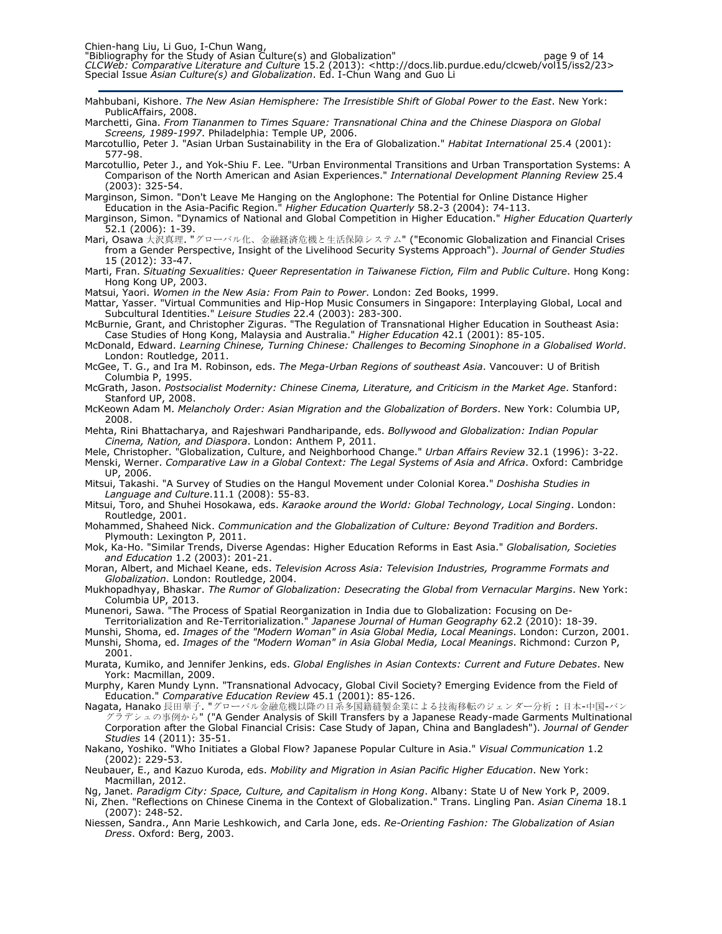Mahbubani, Kishore. The New Asian Hemisphere: The Irresistible Shift of Global Power to the East. New York: PublicAffairs, 2008.

Marchetti, Gina. From Tiananmen to Times Square: Transnational China and the Chinese Diaspora on Global Screens, 1989-1997. Philadelphia: Temple UP, 2006.

Marcotullio, Peter J. "Asian Urban Sustainability in the Era of Globalization." Habitat International 25.4 (2001): 577-98.

Marcotullio, Peter J., and Yok-Shiu F. Lee. "Urban Environmental Transitions and Urban Transportation Systems: A Comparison of the North American and Asian Experiences." International Development Planning Review 25.4 (2003): 325-54.

Marginson, Simon. "Don't Leave Me Hanging on the Anglophone: The Potential for Online Distance Higher Education in the Asia-Pacific Region." Higher Education Quarterly 58.2-3 (2004): 74-113.

Marginson, Simon. "Dynamics of National and Global Competition in Higher Education." Higher Education Quarterly 52.1 (2006): 1-39.

Mari, Osawa 大沢真理. "グローバル化、金融経済危機と生活保障システム" ("Economic Globalization and Financial Crises from a Gender Perspective, Insight of the Livelihood Security Systems Approach"). Journal of Gender Studies 15 (2012): 33-47.

Marti, Fran. Situating Sexualities: Queer Representation in Taiwanese Fiction, Film and Public Culture. Hong Kong: Hong Kong UP, 2003.

Matsui, Yaori. Women in the New Asia: From Pain to Power. London: Zed Books, 1999.

Mattar, Yasser. "Virtual Communities and Hip-Hop Music Consumers in Singapore: Interplaying Global, Local and Subcultural Identities." Leisure Studies 22.4 (2003): 283-300.

McBurnie, Grant, and Christopher Ziguras. "The Regulation of Transnational Higher Education in Southeast Asia: Case Studies of Hong Kong, Malaysia and Australia." Higher Education 42.1 (2001): 85-105.

McDonald, Edward. Learning Chinese, Turning Chinese: Challenges to Becoming Sinophone in a Globalised World. London: Routledge, 2011.

McGee, T. G., and Ira M. Robinson, eds. The Mega-Urban Regions of southeast Asia. Vancouver: U of British Columbia P, 1995.

McGrath, Jason. Postsocialist Modernity: Chinese Cinema, Literature, and Criticism in the Market Age. Stanford: Stanford UP, 2008.

McKeown Adam M. Melancholy Order: Asian Migration and the Globalization of Borders. New York: Columbia UP, 2008.

Mehta, Rini Bhattacharya, and Rajeshwari Pandharipande, eds. Bollywood and Globalization: Indian Popular Cinema, Nation, and Diaspora. London: Anthem P, 2011.

Mele, Christopher. "Globalization, Culture, and Neighborhood Change." Urban Affairs Review 32.1 (1996): 3-22. Menski, Werner. Comparative Law in a Global Context: The Legal Systems of Asia and Africa. Oxford: Cambridge UP, 2006.

Mitsui, Takashi. "A Survey of Studies on the Hangul Movement under Colonial Korea." Doshisha Studies in Language and Culture.11.1 (2008): 55-83.

Mitsui, Toro, and Shuhei Hosokawa, eds. Karaoke around the World: Global Technology, Local Singing. London: Routledge, 2001.

Mohammed, Shaheed Nick. Communication and the Globalization of Culture: Beyond Tradition and Borders. Plymouth: Lexington P, 2011.

Mok, Ka-Ho. "Similar Trends, Diverse Agendas: Higher Education Reforms in East Asia." Globalisation, Societies and Education 1.2 (2003): 201-21.

Moran, Albert, and Michael Keane, eds. Television Across Asia: Television Industries, Programme Formats and Globalization. London: Routledge, 2004.

Mukhopadhyay, Bhaskar. The Rumor of Globalization: Desecrating the Global from Vernacular Margins. New York: Columbia UP, 2013.

Munenori, Sawa. "The Process of Spatial Reorganization in India due to Globalization: Focusing on De-

Territorialization and Re-Territorialization." Japanese Journal of Human Geography 62.2 (2010): 18-39.

Munshi, Shoma, ed. Images of the "Modern Woman" in Asia Global Media, Local Meanings. London: Curzon, 2001. Munshi, Shoma, ed. Images of the "Modern Woman" in Asia Global Media, Local Meanings. Richmond: Curzon P, 2001.

Murata, Kumiko, and Jennifer Jenkins, eds. Global Englishes in Asian Contexts: Current and Future Debates. New York: Macmillan, 2009.

Murphy, Karen Mundy Lynn. "Transnational Advocacy, Global Civil Society? Emerging Evidence from the Field of Education." Comparative Education Review 45.1 (2001): 85-126.

Nagata, Hanako 長田華子. "グローバル金融危機以降の日系多国籍縫製企業による技術移転のジェンダー分析:日本-中国-バン グラデシュの事例から" ("A Gender Analysis of Skill Transfers by a Japanese Ready-made Garments Multinational Corporation after the Global Financial Crisis: Case Study of Japan, China and Bangladesh"). Journal of Gender Studies 14 (2011): 35-51.

Nakano, Yoshiko. "Who Initiates a Global Flow? Japanese Popular Culture in Asia." Visual Communication 1.2 (2002): 229-53.

Neubauer, E., and Kazuo Kuroda, eds. Mobility and Migration in Asian Pacific Higher Education. New York: Macmillan, 2012.

Ng, Janet. Paradigm City: Space, Culture, and Capitalism in Hong Kong. Albany: State U of New York P, 2009.

Ni, Zhen. "Reflections on Chinese Cinema in the Context of Globalization." Trans. Lingling Pan. Asian Cinema 18.1 (2007): 248-52.

Niessen, Sandra., Ann Marie Leshkowich, and Carla Jone, eds. Re-Orienting Fashion: The Globalization of Asian Dress. Oxford: Berg, 2003.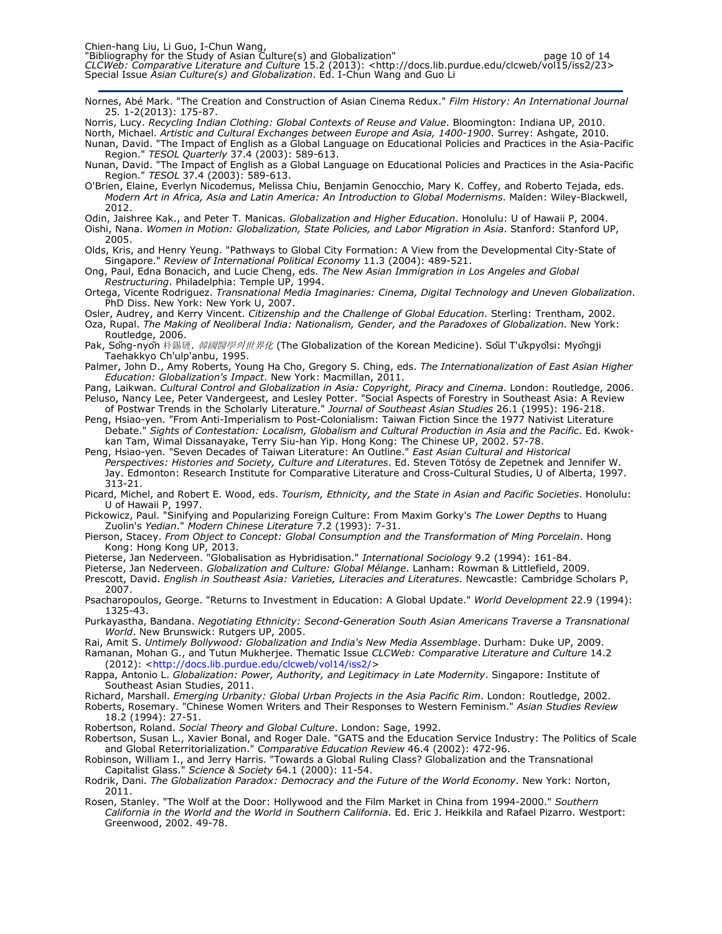Nornes, Abé Mark. "The Creation and Construction of Asian Cinema Redux." Film History: An International Journal 25. 1-2(2013): 175-87.

Norris, Lucy. Recycling Indian Clothing: Global Contexts of Reuse and Value. Bloomington: Indiana UP, 2010.

North, Michael. Artistic and Cultural Exchanges between Europe and Asia, 1400-1900. Surrey: Ashgate, 2010. Nunan, David. "The Impact of English as a Global Language on Educational Policies and Practices in the Asia-Pacific Region." TESOL Quarterly 37.4 (2003): 589-613.

Nunan, David. "The Impact of English as a Global Language on Educational Policies and Practices in the Asia-Pacific Region." TESOL 37.4 (2003): 589-613.

O'Brien, Elaine, Everlyn Nicodemus, Melissa Chiu, Benjamin Genocchio, Mary K. Coffey, and Roberto Tejada, eds. Modern Art in Africa, Asia and Latin America: An Introduction to Global Modernisms. Malden: Wiley-Blackwell, 2012.

Odin, Jaishree Kak., and Peter T. Manicas. Globalization and Higher Education. Honolulu: U of Hawaii P, 2004. Oishi, Nana. Women in Motion: Globalization, State Policies, and Labor Migration in Asia. Stanford: Stanford UP, 2005.

Olds, Kris, and Henry Yeung. "Pathways to Global City Formation: A View from the Developmental City-State of Singapore." Review of International Political Economy 11.3 (2004): 489-521.

Ong, Paul, Edna Bonacich, and Lucie Cheng, eds. The New Asian Immigration in Los Angeles and Global Restructuring. Philadelphia: Temple UP, 1994.

Ortega, Vicente Rodriguez. Transnational Media Imaginaries: Cinema, Digital Technology and Uneven Globalization. PhD Diss. New York: New York U, 2007.

Osler, Audrey, and Kerry Vincent. Citizenship and the Challenge of Global Education. Sterling: Trentham, 2002.

Oza, Rupal. The Making of Neoliberal India: Nationalism, Gender, and the Paradoxes of Globalization. New York: Routledge, 2006.

Pak, Sǒng-nyǒn 朴錫璉. *韓國醫學의世界化* (The Globalization of the Korean Medicine). Sǒul T'ùkpyolsi: Myǒnqii Taehakkyo Ch'ulp'anbu, 1995.

Palmer, John D., Amy Roberts, Young Ha Cho, Gregory S. Ching, eds. The Internationalization of East Asian Higher Education: Globalization's Impact. New York: Macmillan, 2011.

Pang, Laikwan. Cultural Control and Globalization in Asia: Copyright, Piracy and Cinema. London: Routledge, 2006. Peluso, Nancy Lee, Peter Vandergeest, and Lesley Potter. "Social Aspects of Forestry in Southeast Asia: A Review

of Postwar Trends in the Scholarly Literature." *Journal of Southeast Asian Studies* 26.1 (1995): 196-218. Peng, Hsiao-yen. "From Anti-Imperialism to Post-Colonialism: Taiwan Fiction Since the 1977 Nativist Literature Debate." Sights of Contestation: Localism, Globalism and Cultural Production in Asia and the Pacific. Ed. Kwokkan Tam, Wimal Dissanayake, Terry Siu-han Yip. Hong Kong: The Chinese UP, 2002. 57-78.

Peng, Hsiao-yen. "Seven Decades of Taiwan Literature: An Outline." East Asian Cultural and Historical Perspectives: Histories and Society, Culture and Literatures. Ed. Steven Tötósy de Zepetnek and Jennifer W. Jay. Edmonton: Research Institute for Comparative Literature and Cross-Cultural Studies, U of Alberta, 1997. 313-21.

Picard, Michel, and Robert E. Wood, eds. Tourism, Ethnicity, and the State in Asian and Pacific Societies. Honolulu: U of Hawaii P, 1997.

Pickowicz, Paul. "Sinifying and Popularizing Foreign Culture: From Maxim Gorky's The Lower Depths to Huang Zuolin's Yedian." Modern Chinese Literature 7.2 (1993): 7-31.

Pierson, Stacey. From Object to Concept: Global Consumption and the Transformation of Ming Porcelain. Hong Kong: Hong Kong UP, 2013.

Pieterse, Jan Nederveen. "Globalisation as Hybridisation." *International Sociology* 9.2 (1994): 161-84.

Pieterse, Jan Nederveen. Globalization and Culture: Global Mélange. Lanham: Rowman & Littlefield, 2009. Prescott, David. English in Southeast Asia: Varieties, Literacies and Literatures. Newcastle: Cambridge Scholars P,

2007. Psacharopoulos, George. "Returns to Investment in Education: A Global Update." World Development 22.9 (1994): 1325-43.

Purkayastha, Bandana. Negotiating Ethnicity: Second-Generation South Asian Americans Traverse a Transnational World. New Brunswick: Rutgers UP, 2005.

Rai, Amit S. Untimely Bollywood: Globalization and India's New Media Assemblage. Durham: Duke UP, 2009.

Ramanan, Mohan G., and Tutun Mukherjee. Thematic Issue *CLCWeb: Comparative Literature and Culture* 14.2 (2012): <http://docs.lib.purdue.edu/clcweb/vol14/iss2/>

Rappa, Antonio L. Globalization: Power, Authority, and Legitimacy in Late Modernity. Singapore: Institute of Southeast Asian Studies, 2011.

Richard, Marshall. Emerging Urbanity: Global Urban Projects in the Asia Pacific Rim. London: Routledge, 2002. Roberts, Rosemary. "Chinese Women Writers and Their Responses to Western Feminism." Asian Studies Review 18.2 (1994): 27-51.

Robertson, Roland. Social Theory and Global Culture. London: Sage, 1992.

Robertson, Susan L., Xavier Bonal, and Roger Dale. "GATS and the Education Service Industry: The Politics of Scale and Global Reterritorialization." Comparative Education Review 46.4 (2002): 472-96.

Robinson, William I., and Jerry Harris. "Towards a Global Ruling Class? Globalization and the Transnational Capitalist Glass." Science & Society 64.1 (2000): 11-54.

Rodrik, Dani. The Globalization Paradox: Democracy and the Future of the World Economy. New York: Norton, 2011.

Rosen, Stanley. "The Wolf at the Door: Hollywood and the Film Market in China from 1994-2000." Southern California in the World and the World in Southern California. Ed. Eric J. Heikkila and Rafael Pizarro. Westport: Greenwood, 2002. 49-78.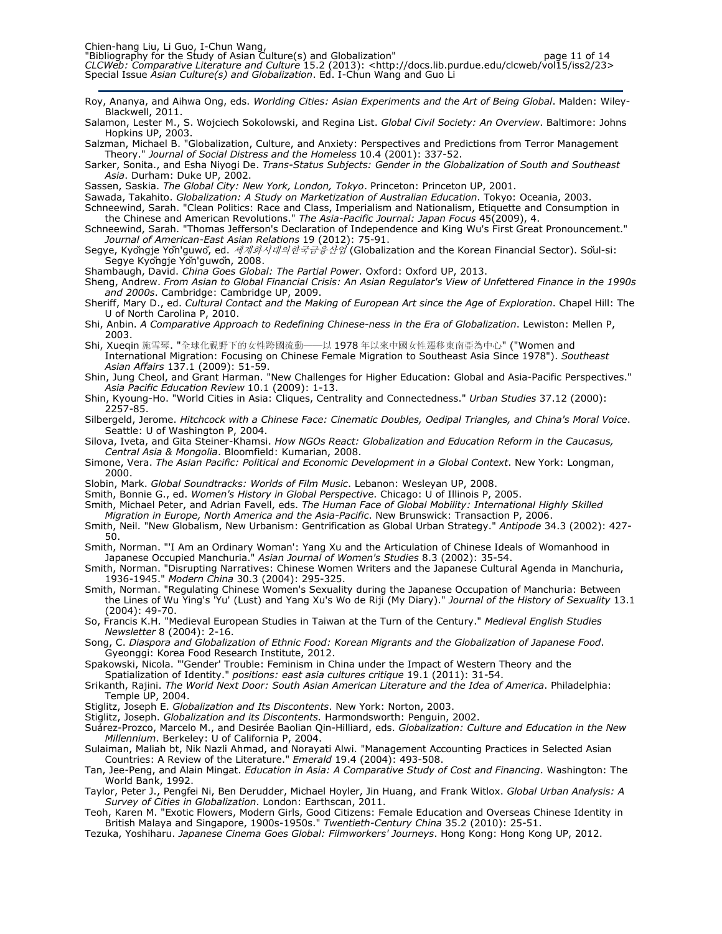- Roy, Ananya, and Aihwa Ong, eds. Worlding Cities: Asian Experiments and the Art of Being Global. Malden: Wiley-Blackwell, 2011.
- Salamon, Lester M., S. Wojciech Sokolowski, and Regina List. Global Civil Society: An Overview. Baltimore: Johns Hopkins UP, 2003.
- Salzman, Michael B. "Globalization, Culture, and Anxiety: Perspectives and Predictions from Terror Management Theory." Journal of Social Distress and the Homeless 10.4 (2001): 337-52.
- Sarker, Sonita., and Esha Niyogi De. Trans-Status Subjects: Gender in the Globalization of South and Southeast Asia. Durham: Duke UP, 2002.
- Sassen, Saskia. The Global City: New York, London, Tokyo. Princeton: Princeton UP, 2001.
- Sawada, Takahito. Globalization: A Study on Marketization of Australian Education. Tokyo: Oceania, 2003. Schneewind, Sarah. "Clean Politics: Race and Class, Imperialism and Nationalism, Etiquette and Consumption in
- the Chinese and American Revolutions." The Asia-Pacific Journal: Japan Focus 45(2009), 4. Schneewind, Sarah. "Thomas Jefferson's Declaration of Independence and King Wu's First Great Pronouncement."
- Journal of American-East Asian Relations 19 (2012): 75-91.
- Segye, Kyŏngje Yŏn'guwŏ, ed. 세계화시대의한국금융산업 (Globalization and the Korean Financial Sector). Sŏul-si: Segye Kyŏngje Yŏn'guwŏn, 2008.
- Shambaugh, David. China Goes Global: The Partial Power. Oxford: Oxford UP, 2013.
- Sheng, Andrew. From Asian to Global Financial Crisis: An Asian Regulator's View of Unfettered Finance in the 1990s and 2000s. Cambridge: Cambridge UP, 2009. Sheriff, Mary D., ed. Cultural Contact and the Making of European Art since the Age of Exploration. Chapel Hill: The
- U of North Carolina P, 2010.
- Shi, Anbin. A Comparative Approach to Redefining Chinese-ness in the Era of Globalization. Lewiston: Mellen P, 2003.
- Shi, Xueqin 施雪琴. "全球化視野下的女性跨國流動——以 1978 年以來中國女性遷移東南亞為中心" ("Women and International Migration: Focusing on Chinese Female Migration to Southeast Asia Since 1978"). Southeast Asian Affairs 137.1 (2009): 51-59.
- Shin, Jung Cheol, and Grant Harman. "New Challenges for Higher Education: Global and Asia-Pacific Perspectives." Asia Pacific Education Review 10.1 (2009): 1-13.
- Shin, Kyoung-Ho. "World Cities in Asia: Cliques, Centrality and Connectedness." Urban Studies 37.12 (2000): 2257-85.
- Silbergeld, Jerome. Hitchcock with a Chinese Face: Cinematic Doubles, Oedipal Triangles, and China's Moral Voice. Seattle: U of Washington P, 2004.
- Silova, Iveta, and Gita Steiner-Khamsi. How NGOs React: Globalization and Education Reform in the Caucasus, Central Asia & Mongolia. Bloomfield: Kumarian, 2008.
- Simone, Vera. The Asian Pacific: Political and Economic Development in a Global Context. New York: Longman, 2000.
- Slobin, Mark. Global Soundtracks: Worlds of Film Music. Lebanon: Wesleyan UP, 2008.
- Smith, Bonnie G., ed. Women's History in Global Perspective. Chicago: U of Illinois P, 2005.
- Smith, Michael Peter, and Adrian Favell, eds. The Human Face of Global Mobility: International Highly Skilled Migration in Europe, North America and the Asia-Pacific. New Brunswick: Transaction P, 2006.
- Smith, Neil. "New Globalism, New Urbanism: Gentrification as Global Urban Strategy." Antipode 34.3 (2002): 427- 50.
- Smith, Norman. "'I Am an Ordinary Woman': Yang Xu and the Articulation of Chinese Ideals of Womanhood in Japanese Occupied Manchuria." Asian Journal of Women's Studies 8.3 (2002): 35-54.
- Smith, Norman. "Disrupting Narratives: Chinese Women Writers and the Japanese Cultural Agenda in Manchuria, 1936-1945." Modern China 30.3 (2004): 295-325.
- Smith, Norman. "Regulating Chinese Women's Sexuality during the Japanese Occupation of Manchuria: Between the Lines of Wu Ying's 'Yu' (Lust) and Yang Xu's Wo de Riji (My Diary)." Journal of the History of Sexuality 13.1 (2004): 49-70.
- So, Francis K.H. "Medieval European Studies in Taiwan at the Turn of the Century." Medieval English Studies Newsletter 8 (2004): 2-16.
- Song, C. Diaspora and Globalization of Ethnic Food: Korean Migrants and the Globalization of Japanese Food. Gyeonggi: Korea Food Research Institute, 2012.
- Spakowski, Nicola. "'Gender' Trouble: Feminism in China under the Impact of Western Theory and the Spatialization of Identity." positions: east asia cultures critique 19.1 (2011): 31-54.
- Srikanth, Rajini. The World Next Door: South Asian American Literature and the Idea of America. Philadelphia: Temple UP, 2004.
- Stiglitz, Joseph E. Globalization and Its Discontents. New York: Norton, 2003.
- Stiglitz, Joseph. Globalization and its Discontents. Harmondsworth: Penguin, 2002.
- Suárez-Prozco, Marcelo M., and Desirée Baolian Qin-Hilliard, eds. Globalization: Culture and Education in the New Millennium. Berkeley: U of California P, 2004.
- Sulaiman, Maliah bt, Nik Nazli Ahmad, and Norayati Alwi. "Management Accounting Practices in Selected Asian Countries: A Review of the Literature." Emerald 19.4 (2004): 493-508.
- Tan, Jee-Peng, and Alain Mingat. Education in Asia: A Comparative Study of Cost and Financing. Washington: The World Bank, 1992.
- Taylor, Peter J., Pengfei Ni, Ben Derudder, Michael Hoyler, Jin Huang, and Frank Witlox. Global Urban Analysis: A Survey of Cities in Globalization. London: Earthscan, 2011.
- Teoh, Karen M. "Exotic Flowers, Modern Girls, Good Citizens: Female Education and Overseas Chinese Identity in British Malaya and Singapore, 1900s-1950s." Twentieth-Century China 35.2 (2010): 25-51.
- Tezuka, Yoshiharu. Japanese Cinema Goes Global: Filmworkers' Journeys. Hong Kong: Hong Kong UP, 2012.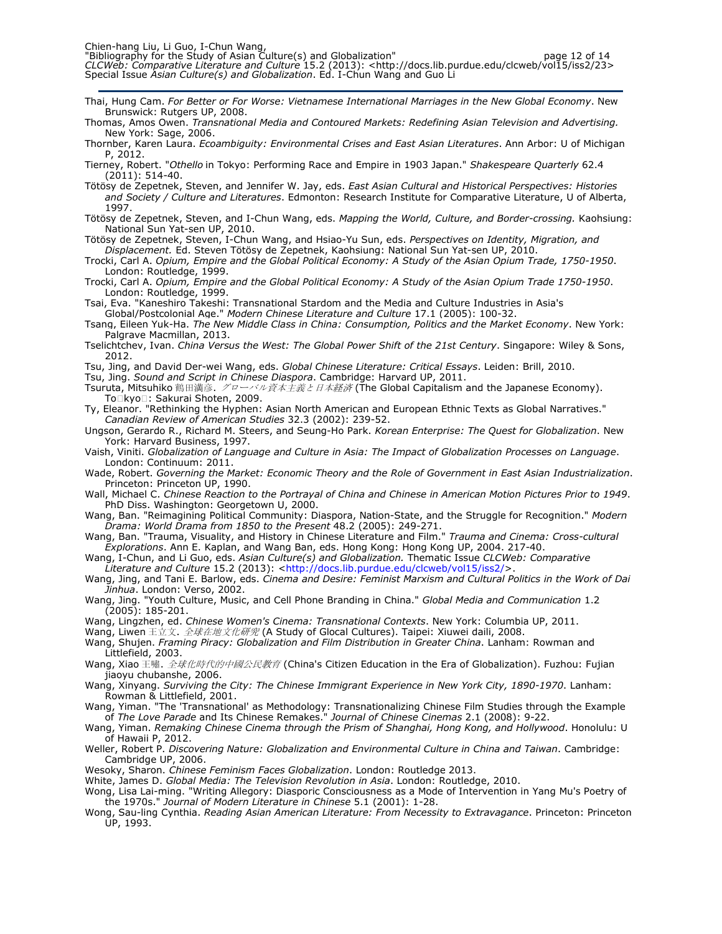"Bibliography for the Study of Asian Culture(s) and Globalization" https://www.charabio.com/2012/06-14 CLCWeb: Comparative Literature and Culture 15.2 (2013): <http://docs.lib.purdue.edu/clcweb/vol15/iss2/23> Special Issue *Asian Culture(s) and Globalization*. Ed. I-Chun Wang and Guo Li

- Thai, Hung Cam. For Better or For Worse: Vietnamese International Marriages in the New Global Economy. New Brunswick: Rutgers UP, 2008.
- Thomas, Amos Owen. Transnational Media and Contoured Markets: Redefining Asian Television and Advertising. New York: Sage, 2006.
- Thornber, Karen Laura. Ecoambiguity: Environmental Crises and East Asian Literatures. Ann Arbor: U of Michigan P, 2012.
- Tierney, Robert. "Othello in Tokyo: Performing Race and Empire in 1903 Japan." Shakespeare Quarterly 62.4 (2011): 514-40.
- Tötösy de Zepetnek, Steven, and Jennifer W. Jay, eds. East Asian Cultural and Historical Perspectives: Histories and Society / Culture and Literatures. Edmonton: Research Institute for Comparative Literature, U of Alberta, 1997.
- Tötösy de Zepetnek, Steven, and I-Chun Wang, eds. Mapping the World, Culture, and Border-crossing. Kaohsiung: National Sun Yat-sen UP, 2010.
- Tötösy de Zepetnek, Steven, I-Chun Wang, and Hsiao-Yu Sun, eds. Perspectives on Identity, Migration, and Displacement. Ed. Steven Tötösy de Zepetnek, Kaohsiung: National Sun Yat-sen UP, 2010.
- Trocki, Carl A. Opium, Empire and the Global Political Economy: A Study of the Asian Opium Trade, 1750-1950. London: Routledge, 1999.
- Trocki, Carl A. Opium, Empire and the Global Political Economy: A Study of the Asian Opium Trade 1750-1950. London: Routledge, 1999.
- Tsai, Eva. "Kaneshiro Takeshi: Transnational Stardom and the Media and Culture Industries in Asia's Global/Postcolonial Age." Modern Chinese Literature and Culture 17.1 (2005): 100-32.
- Tsang, Eileen Yuk-Ha. The New Middle Class in China: Consumption, Politics and the Market Economy. New York: Palgrave Macmillan, 2013.
- Tselichtchev, Ivan. China Versus the West: The Global Power Shift of the 21st Century. Singapore: Wiley & Sons, 2012.
- Tsu, Jing, and David Der-wei Wang, eds. Global Chinese Literature: Critical Essays. Leiden: Brill, 2010.
- Tsu, Jing. Sound and Script in Chinese Diaspora. Cambridge: Harvard UP, 2011.
- Tsuruta, Mitsuhiko 鶴田満彦. グローバル資本主義と日本経済 (The Global Capitalism and the Japanese Economy). To kyo: Sakurai Shoten, 2009.
- Ty, Eleanor. "Rethinking the Hyphen: Asian North American and European Ethnic Texts as Global Narratives." Canadian Review of American Studies 32.3 (2002): 239-52.
- Ungson, Gerardo R., Richard M. Steers, and Seung-Ho Park. Korean Enterprise: The Quest for Globalization. New York: Harvard Business, 1997.
- Vaish, Viniti. Globalization of Language and Culture in Asia: The Impact of Globalization Processes on Language. London: Continuum: 2011.
- Wade, Robert. Governing the Market: Economic Theory and the Role of Government in East Asian Industrialization. Princeton: Princeton UP, 1990.
- Wall, Michael C. Chinese Reaction to the Portrayal of China and Chinese in American Motion Pictures Prior to 1949. PhD Diss. Washington: Georgetown U, 2000.
- Wang, Ban. "Reimagining Political Community: Diaspora, Nation-State, and the Struggle for Recognition." Modern Drama: World Drama from 1850 to the Present 48.2 (2005): 249-271.
- Wang, Ban. "Trauma, Visuality, and History in Chinese Literature and Film." Trauma and Cinema: Cross-cultural Explorations. Ann E. Kaplan, and Wang Ban, eds. Hong Kong: Hong Kong UP, 2004. 217-40.
- Wang, I-Chun, and Li Guo, eds. Asian Culture(s) and Globalization. Thematic Issue CLCWeb: Comparative Literature and Culture 15.2 (2013): <http://docs.lib.purdue.edu/clcweb/vol15/iss2/>
- Wang, Jing, and Tani E. Barlow, eds. Cinema and Desire: Feminist Marxism and Cultural Politics in the Work of Dai Jinhua. London: Verso, 2002.
- Wang, Jing. "Youth Culture, Music, and Cell Phone Branding in China." Global Media and Communication 1.2 (2005): 185-201.
- Wang, Lingzhen, ed. Chinese Women's Cinema: Transnational Contexts. New York: Columbia UP, 2011.
- Wang, Liwen 王立文. *全球在地文化研究* (A Study of Glocal Cultures). Taipei: Xiuwei daili, 2008.
- Wang, Shujen. Framing Piracy: Globalization and Film Distribution in Greater China. Lanham: Rowman and Littlefield, 2003.
- Wang, Xiao 王嘯. *全球化時代的中國公民教育* (China's Citizen Education in the Era of Globalization). Fuzhou: Fujian jiaoyu chubanshe, 2006.
- Wang, Xinyang. Surviving the City: The Chinese Immigrant Experience in New York City, 1890-1970. Lanham: Rowman & Littlefield, 2001.
- Wang, Yiman. "The 'Transnational' as Methodology: Transnationalizing Chinese Film Studies through the Example of The Love Parade and Its Chinese Remakes." Journal of Chinese Cinemas 2.1 (2008): 9-22.
- Wang, Yiman. Remaking Chinese Cinema through the Prism of Shanghai, Hong Kong, and Hollywood. Honolulu: U of Hawaii P, 2012.
- Weller, Robert P. Discovering Nature: Globalization and Environmental Culture in China and Taiwan. Cambridge: Cambridge UP, 2006.
- Wesoky, Sharon. Chinese Feminism Faces Globalization. London: Routledge 2013.
- White, James D. Global Media: The Television Revolution in Asia. London: Routledge, 2010.
- Wong, Lisa Lai-ming. "Writing Allegory: Diasporic Consciousness as a Mode of Intervention in Yang Mu's Poetry of the 1970s." Journal of Modern Literature in Chinese 5.1 (2001): 1-28.
- Wong, Sau-ling Cynthia. Reading Asian American Literature: From Necessity to Extravagance. Princeton: Princeton UP, 1993.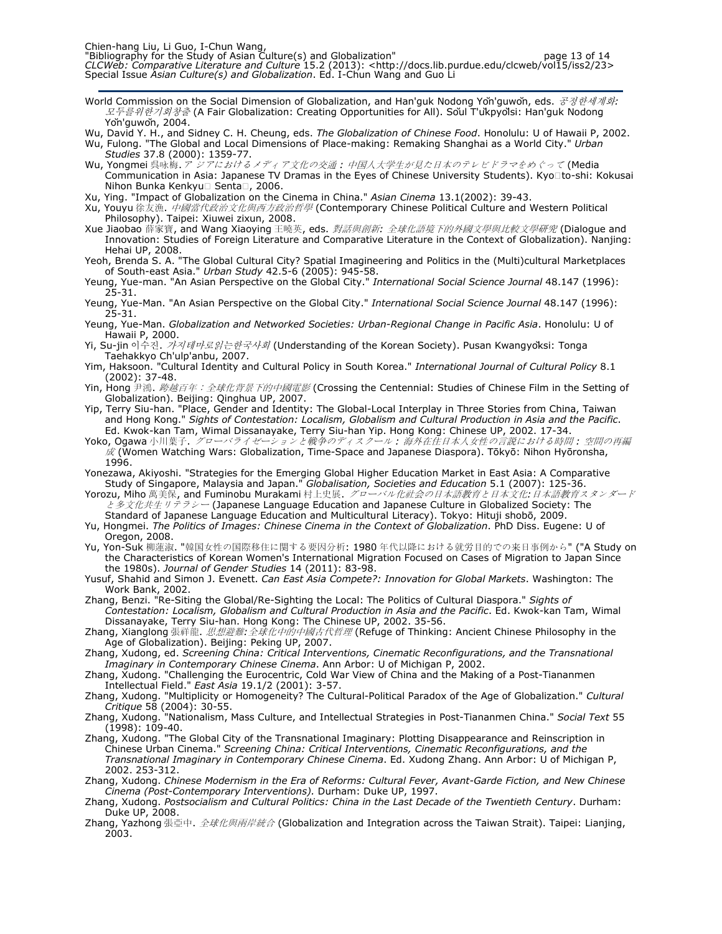World Commission on the Social Dimension of Globalization, and Han'guk Nodong Yŏn'guwŏn, eds. 공정한세계화: 모두를위한기회창출 (A Fair Globalization: Creating Opportunities for All). Sŏul T'ŭkpyŏlsi: Han'guk Nodong Yŏn'guwŏn, 2004.

Wu, David Y. H., and Sidney C. H. Cheung, eds. The Globalization of Chinese Food. Honolulu: U of Hawaii P, 2002.

Wu, Fulong. "The Global and Local Dimensions of Place-making: Remaking Shanghai as a World City." Urban Studies 37.8 (2000): 1359-77.

- Wu, Yongmei 呉咏梅. ア ジアにおけるメディア文化の交通: 中国人大学生が見た日本のテレビドラマをめぐって (Media Communication in Asia: Japanese TV Dramas in the Eyes of Chinese University Students). Kyo to-shi: Kokusai Nihon Bunka Kenkyu Senta, 2006.
- Xu, Ying. "Impact of Globalization on the Cinema in China." Asian Cinema 13.1(2002): 39-43.
- Xu, Youyu 徐友漁. 中國當代政治文化與西方政治哲學 (Contemporary Chinese Political Culture and Western Political Philosophy). Taipei: Xiuwei zixun, 2008.
- Xue Jiaobao 薛家寶, and Wang Xiaoying 王曉英, eds. *對話與創新: 全球化語境下的外國文學與比較文學研究* (Dialogue and Innovation: Studies of Foreign Literature and Comparative Literature in the Context of Globalization). Nanjing: Hehai UP, 2008.
- Yeoh, Brenda S. A. "The Global Cultural City? Spatial Imagineering and Politics in the (Multi)cultural Marketplaces of South-east Asia." Urban Study 42.5-6 (2005): 945-58.
- Yeung, Yue-man. "An Asian Perspective on the Global City." International Social Science Journal 48.147 (1996): 25-31.
- Yeung, Yue-Man. "An Asian Perspective on the Global City." International Social Science Journal 48.147 (1996): 25-31.
- Yeung, Yue-Man. Globalization and Networked Societies: Urban-Regional Change in Pacific Asia. Honolulu: U of Hawaii P, 2000. Yi, Su-jin 이수진. 가지테마로읽는한국사회 (Understanding of the Korean Society). Pusan Kwangyŏksi: Tonga
- Taehakkyo Ch'ulp'anbu, 2007.
- Yim, Haksoon. "Cultural Identity and Cultural Policy in South Korea." International Journal of Cultural Policy 8.1 (2002): 37-48.
- Yin, Hong 尹鴻. *跨越百年:全球化背景下的中國電影* (Crossing the Centennial: Studies of Chinese Film in the Setting of Globalization). Beijing: Qinghua UP, 2007.
- Yip, Terry Siu-han. "Place, Gender and Identity: The Global-Local Interplay in Three Stories from China, Taiwan and Hong Kong." Sights of Contestation: Localism, Globalism and Cultural Production in Asia and the Pacific. Ed. Kwok-kan Tam, Wimal Dissanayake, Terry Siu-han Yip. Hong Kong: Chinese UP, 2002. 17-34.
- Yoko, Ogawa 小川葉子. グローバライゼーションと戦争のディスクール:海外在住日本人女性の言説における時間:空間の再編  $\cancel{\pi}$  (Women Watching Wars: Globalization, Time-Space and Japanese Diaspora). Tōkyō: Nihon Hyōronsha, 1996.
- Yonezawa, Akiyoshi. "Strategies for the Emerging Global Higher Education Market in East Asia: A Comparative Study of Singapore, Malaysia and Japan." Globalisation, Societies and Education 5.1 (2007): 125-36.
- Yorozu, Miho 萬美保, and Fuminobu Murakami 村上史展. グローバル化社会の日本語教育と日本文化:日本語教育スタンダード と多文化共生リテラシー (Japanese Language Education and Japanese Culture in Globalized Society: The Standard of Japanese Language Education and Multicultural Literacy). Tokyo: Hituji shobō, 2009.
- Yu, Hongmei. The Politics of Images: Chinese Cinema in the Context of Globalization. PhD Diss. Eugene: U of Oregon, 2008.
- Yu, Yon-Suk 柳蓮淑. "韓国女性の国際移住に関する要因分析: 1980 年代以降における就労目的での来日事例から" ("A Study on the Characteristics of Korean Women's International Migration Focused on Cases of Migration to Japan Since the 1980s). Journal of Gender Studies 14 (2011): 83-98.
- Yusuf, Shahid and Simon J. Evenett. Can East Asia Compete?: Innovation for Global Markets. Washington: The Work Bank, 2002.
- Zhang, Benzi. "Re-Siting the Global/Re-Sighting the Local: The Politics of Cultural Diaspora." Sights of Contestation: Localism, Globalism and Cultural Production in Asia and the Pacific. Ed. Kwok-kan Tam, Wimal Dissanayake, Terry Siu-han. Hong Kong: The Chinese UP, 2002. 35-56.
- Zhang, Xianglong 張祥龍. 思想避難: 全球化中的中國古代哲理 (Refuge of Thinking: Ancient Chinese Philosophy in the Age of Globalization). Beijing: Peking UP, 2007.
- Zhang, Xudong, ed. Screening China: Critical Interventions, Cinematic Reconfigurations, and the Transnational Imaginary in Contemporary Chinese Cinema. Ann Arbor: U of Michigan P, 2002.
- Zhang, Xudong. "Challenging the Eurocentric, Cold War View of China and the Making of a Post-Tiananmen Intellectual Field." East Asia 19.1/2 (2001): 3-57.
- Zhang, Xudong. "Multiplicity or Homogeneity? The Cultural-Political Paradox of the Age of Globalization." Cultural Critique 58 (2004): 30-55.
- Zhang, Xudong. "Nationalism, Mass Culture, and Intellectual Strategies in Post-Tiananmen China." *Social Text* 55 (1998): 109-40.
- Zhang, Xudong. "The Global City of the Transnational Imaginary: Plotting Disappearance and Reinscription in Chinese Urban Cinema." Screening China: Critical Interventions, Cinematic Reconfigurations, and the Transnational Imaginary in Contemporary Chinese Cinema. Ed. Xudong Zhang. Ann Arbor: U of Michigan P, 2002. 253-312.
- Zhang, Xudong. Chinese Modernism in the Era of Reforms: Cultural Fever, Avant-Garde Fiction, and New Chinese Cinema (Post-Contemporary Interventions). Durham: Duke UP, 1997.
- Zhang, Xudong. Postsocialism and Cultural Politics: China in the Last Decade of the Twentieth Century. Durham: Duke UP, 2008.
- Zhang, Yazhong 張亞中. *全球化與兩岸統合* (Globalization and Integration across the Taiwan Strait). Taipei: Lianjing, 2003.